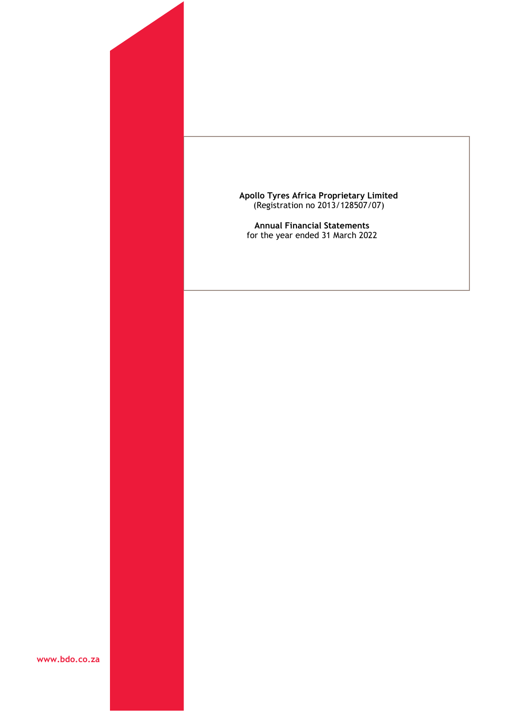### **Apollo Tyres Africa Proprietary Limited**  (Registration no 2013/128507/07)

**Annual Financial Statements** for the year ended 31 March 2022

**[www.bdo.co.za](http://www.bdo.co.za/)**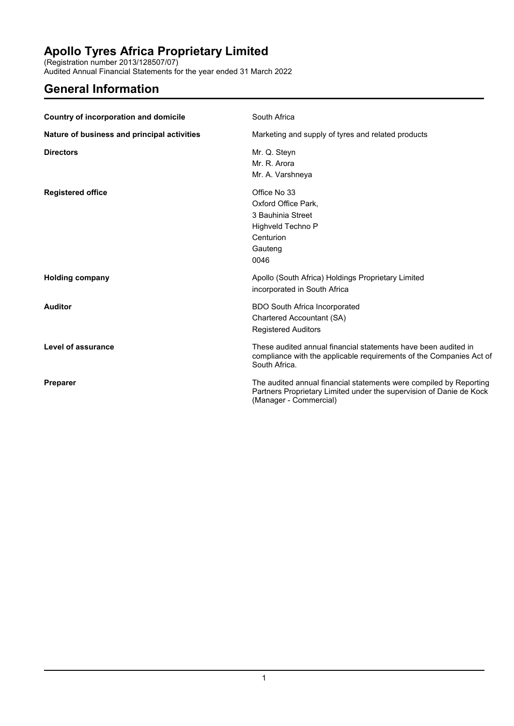(Registration number 2013/128507/07)

Audited Annual Financial Statements for the year ended 31 March 2022

# **General Information**

| Country of incorporation and domicile       | South Africa                                                                                                                                                        |
|---------------------------------------------|---------------------------------------------------------------------------------------------------------------------------------------------------------------------|
| Nature of business and principal activities | Marketing and supply of tyres and related products                                                                                                                  |
| <b>Directors</b>                            | Mr. Q. Steyn<br>Mr. R. Arora<br>Mr. A. Varshneya                                                                                                                    |
| <b>Registered office</b>                    | Office No 33<br>Oxford Office Park,<br>3 Bauhinia Street<br>Highveld Techno P<br>Centurion<br>Gauteng<br>0046                                                       |
| <b>Holding company</b>                      | Apollo (South Africa) Holdings Proprietary Limited<br>incorporated in South Africa                                                                                  |
| <b>Auditor</b>                              | <b>BDO South Africa Incorporated</b><br>Chartered Accountant (SA)<br><b>Registered Auditors</b>                                                                     |
| Level of assurance                          | These audited annual financial statements have been audited in<br>compliance with the applicable requirements of the Companies Act of<br>South Africa.              |
| <b>Preparer</b>                             | The audited annual financial statements were compiled by Reporting<br>Partners Proprietary Limited under the supervision of Danie de Kock<br>(Manager - Commercial) |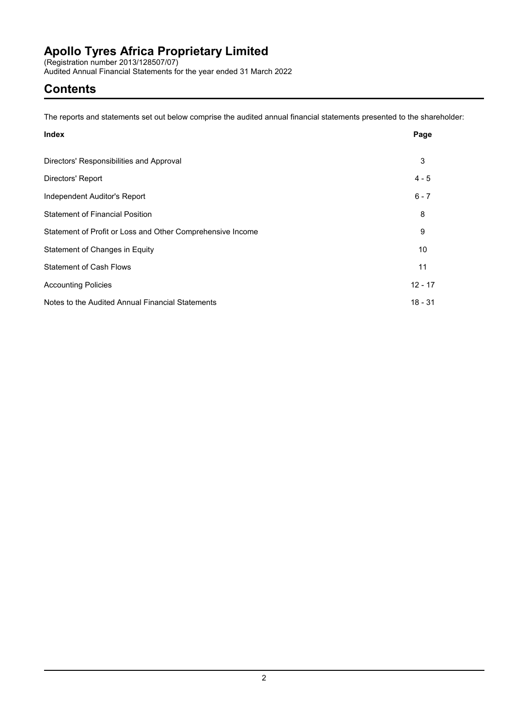(Registration number 2013/128507/07)

Audited Annual Financial Statements for the year ended 31 March 2022

# **Contents**

The reports and statements set out below comprise the audited annual financial statements presented to the shareholder:

| <b>Index</b>                                               | Page      |
|------------------------------------------------------------|-----------|
| Directors' Responsibilities and Approval                   | 3         |
| Directors' Report                                          | $4 - 5$   |
| Independent Auditor's Report                               | $6 - 7$   |
| <b>Statement of Financial Position</b>                     | 8         |
| Statement of Profit or Loss and Other Comprehensive Income | 9         |
| Statement of Changes in Equity                             | 10        |
| <b>Statement of Cash Flows</b>                             | 11        |
| <b>Accounting Policies</b>                                 | $12 - 17$ |
| Notes to the Audited Annual Financial Statements           | $18 - 31$ |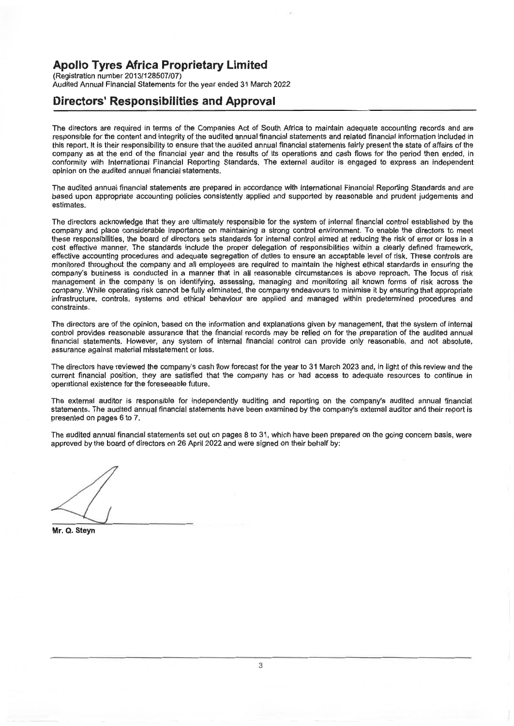(Registration number 20131128507107) Audited Annual Financial Statements for the year ended 31 March 2022

## Directors' Responsibilities and Approval

The directors are required in terms of the Companies Act of South Africa to maintain adequate accounting records and are responsible for the content and integrity of the audited annual financial statements and related financial information included in this report. It is their responsibility to ensure that the audited annual financial statements fairly present the state of affairs of the company as at the end of the financial year and the results of its operations and cash flows for the period then ended, in conformity with International Financial Reporting Standards. The external auditor is engaged to express an independent opinion on the audited annual financial statements.

The audited annual financial statements are prepared in accordance with International Financial Reporting Standards and are based upon appropriate accounting policies consistently applied and supported by reasonable and prudent judgements and estimates.

The directors acknowledge that they are ultimately responsible for the system of internal financial control established by the company and place considerable importance on maintaining <sup>a</sup> strong control environment. To enable the directors to meet these responsibilities, the board of directors sets standards for internal control aimed at reducing the risk of error or loss in <sup>a</sup> cost effective manner. The standards include the proper delegation of responsibilities within <sup>a</sup> clearly defined framework, effective accounting procedures and adequate segregation of duties to ensure an acceptable level of risk. These controls are monitored throughout the company and all employees are required to maintain the highest ethical standards in ensuring the company's business is conducted in <sup>a</sup> manner that in all reasonable circumstances is above reproach. The focus of risk management in the company is on identifying, assessing, managing and monitoring all known forms of risk across the company. While operating risk cannot be fully eliminated, the company endeavours to minimise it by ensuring that appropriate infrastructure, controls, systems and ethical behaviour are applied and managed within predetermined procedures and constraints.

The directors are of the opinion, based on the information and explanations given by management, that the system of internal control provides reasonable assurance that the financial records may be relied on for the preparation of the audited annual financial statements. However, any system of internal financial control can provide only reasonable, and not absolute, assurance against material misstatement or loss.

The directors have reviewed the company's cash flow forecast for the year to 31 March 2023 and, in light of this review and the current financial position, they are satisfied that the company has or had access to adequate resources to continue in operational existence for the foreseeable future.

The external auditor is responsible for independently auditing and reporting on the company's audited annual financial statements. The audited annual financial statements have been examined by the company's external auditor and their report is presented on pages 6 to 7.

The audited annual financial statements set out on pages 8 to 31, which have been prepared on the going concern basis, were approved by the board of directors on 26 April 2022 and were signed on their behalf by:

Mr. Q. Steyn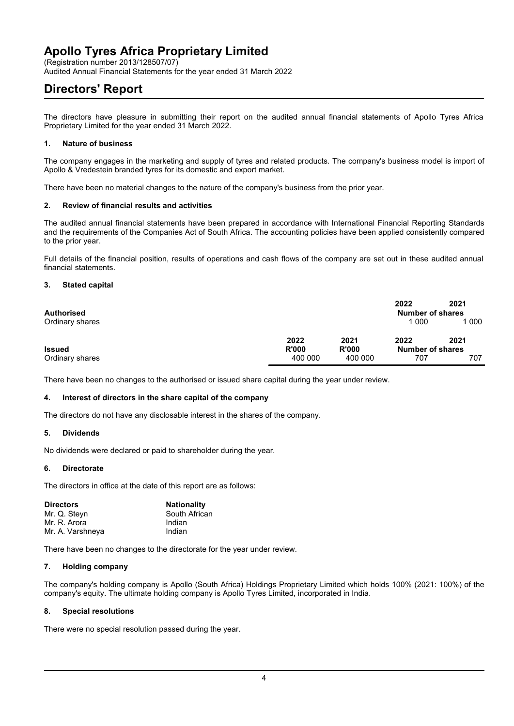(Registration number 2013/128507/07)

Audited Annual Financial Statements for the year ended 31 March 2022

# **Directors' Report**

The directors have pleasure in submitting their report on the audited annual financial statements of Apollo Tyres Africa Proprietary Limited for the year ended 31 March 2022.

### **1. Nature of business**

The company engages in the marketing and supply of tyres and related products. The company's business model is import of Apollo & Vredestein branded tyres for its domestic and export market.

There have been no material changes to the nature of the company's business from the prior year.

#### **2. Review of financial results and activities**

The audited annual financial statements have been prepared in accordance with International Financial Reporting Standards and the requirements of the Companies Act of South Africa. The accounting policies have been applied consistently compared to the prior year.

Full details of the financial position, results of operations and cash flows of the company are set out in these audited annual financial statements.

#### **3. Stated capital**

| Authorised      |              |              | 2022<br><b>Number of shares</b> | 2021  |
|-----------------|--------------|--------------|---------------------------------|-------|
| Ordinary shares |              |              | 1 000                           | 1 000 |
|                 | 2022         | 2021         | 2022                            | 2021  |
| <b>Issued</b>   | <b>R'000</b> | <b>R'000</b> | <b>Number of shares</b>         |       |
| Ordinary shares | 400 000      | 400 000      | 707                             | 707   |

There have been no changes to the authorised or issued share capital during the year under review.

#### **4. Interest of directors in the share capital of the company**

The directors do not have any disclosable interest in the shares of the company.

#### **5. Dividends**

No dividends were declared or paid to shareholder during the year.

#### **6. Directorate**

The directors in office at the date of this report are as follows:

| <b>Directors</b> | <b>Nationality</b> |
|------------------|--------------------|
| Mr. Q. Steyn     | South African      |
| Mr. R. Arora     | Indian             |
| Mr. A. Varshneya | Indian             |

There have been no changes to the directorate for the year under review.

### **7. Holding company**

The company's holding company is Apollo (South Africa) Holdings Proprietary Limited which holds 100% (2021: 100%) of the company's equity. The ultimate holding company is Apollo Tyres Limited, incorporated in India.

#### **8. Special resolutions**

There were no special resolution passed during the year.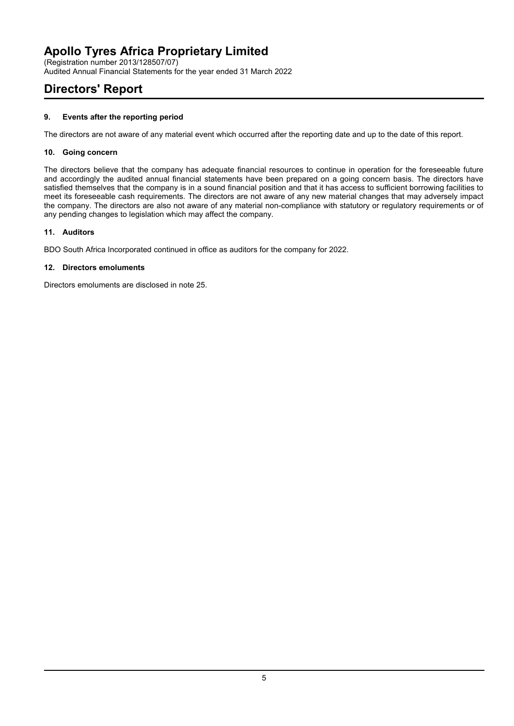(Registration number 2013/128507/07) Audited Annual Financial Statements for the year ended 31 March 2022

# **Directors' Report**

### **9. Events after the reporting period**

The directors are not aware of any material event which occurred after the reporting date and up to the date of this report.

### **10. Going concern**

The directors believe that the company has adequate financial resources to continue in operation for the foreseeable future and accordingly the audited annual financial statements have been prepared on a going concern basis. The directors have satisfied themselves that the company is in a sound financial position and that it has access to sufficient borrowing facilities to meet its foreseeable cash requirements. The directors are not aware of any new material changes that may adversely impact the company. The directors are also not aware of any material non-compliance with statutory or regulatory requirements or of any pending changes to legislation which may affect the company.

### **11. Auditors**

BDO South Africa Incorporated continued in office as auditors for the company for 2022.

### **12. Directors emoluments**

Directors emoluments are disclosed in note 25.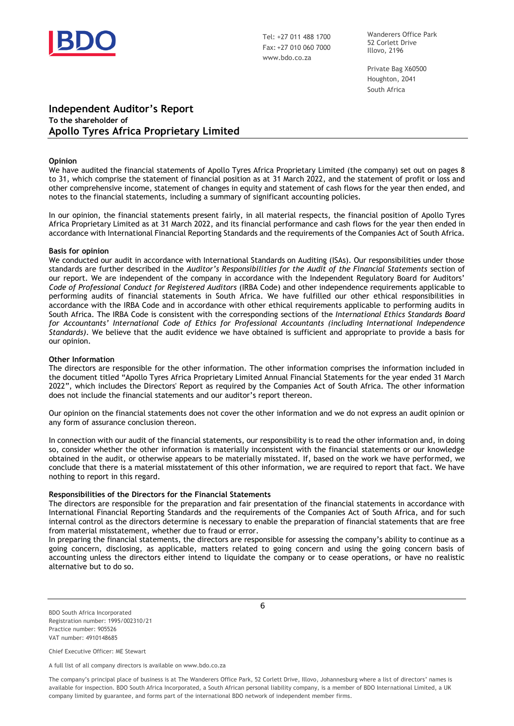

Tel: +27 011 488 1700 Fax: +27 010 060 7000 www.bdo.co.za

Wanderers Office Park 52 Corlett Drive Illovo, 2196

Private Bag X60500 Houghton, 2041 South Africa

## **Independent Auditor's Report To the shareholder of Apollo Tyres Africa Proprietary Limited**

#### **Opinion**

We have audited the financial statements of Apollo Tyres Africa Proprietary Limited (the company) set out on pages 8 to 31, which comprise the statement of financial position as at 31 March 2022, and the statement of profit or loss and other comprehensive income, statement of changes in equity and statement of cash flows for the year then ended, and notes to the financial statements, including a summary of significant accounting policies.

In our opinion, the financial statements present fairly, in all material respects, the financial position of Apollo Tyres Africa Proprietary Limited as at 31 March 2022, and its financial performance and cash flows for the year then ended in accordance with International Financial Reporting Standards and the requirements of the Companies Act of South Africa.

#### **Basis for opinion**

We conducted our audit in accordance with International Standards on Auditing (ISAs). Our responsibilities under those standards are further described in the *Auditor's Responsibilities for the Audit of the Financial Statements* section of our report. We are independent of the company in accordance with the Independent Regulatory Board for Auditors' *Code of Professional Conduct for Registered Auditors* (IRBA Code) and other independence requirements applicable to performing audits of financial statements in South Africa. We have fulfilled our other ethical responsibilities in accordance with the IRBA Code and in accordance with other ethical requirements applicable to performing audits in South Africa. The IRBA Code is consistent with the corresponding sections of the *International Ethics Standards Board for Accountants' International Code of Ethics for Professional Accountants (including International Independence Standards)*. We believe that the audit evidence we have obtained is sufficient and appropriate to provide a basis for our opinion.

#### **Other Information**

The directors are responsible for the other information. The other information comprises the information included in the document titled "Apollo Tyres Africa Proprietary Limited Annual Financial Statements for the year ended 31 March 2022", which includes the Directors' Report as required by the Companies Act of South Africa. The other information does not include the financial statements and our auditor's report thereon.

Our opinion on the financial statements does not cover the other information and we do not express an audit opinion or any form of assurance conclusion thereon.

In connection with our audit of the financial statements, our responsibility is to read the other information and, in doing so, consider whether the other information is materially inconsistent with the financial statements or our knowledge obtained in the audit, or otherwise appears to be materially misstated. If, based on the work we have performed, we conclude that there is a material misstatement of this other information, we are required to report that fact. We have nothing to report in this regard.

#### **Responsibilities of the Directors for the Financial Statements**

The directors are responsible for the preparation and fair presentation of the financial statements in accordance with International Financial Reporting Standards and the requirements of the Companies Act of South Africa, and for such internal control as the directors determine is necessary to enable the preparation of financial statements that are free from material misstatement, whether due to fraud or error.

In preparing the financial statements, the directors are responsible for assessing the company's ability to continue as a going concern, disclosing, as applicable, matters related to going concern and using the going concern basis of accounting unless the directors either intend to liquidate the company or to cease operations, or have no realistic alternative but to do so.

BDO South Africa Incorporated Registration number: 1995/002310/21 Practice number: 905526 VAT number: 4910148685

Chief Executive Officer: ME Stewart

A full list of all company directors is available on www.bdo.co.za

The company's principal place of business is at The Wanderers Office Park, 52 Corlett Drive, Illovo, Johannesburg where a list of directors' names is available for inspection. BDO South Africa Incorporated, a South African personal liability company, is a member of BDO International Limited, a UK company limited by guarantee, and forms part of the international BDO network of independent member firms.

6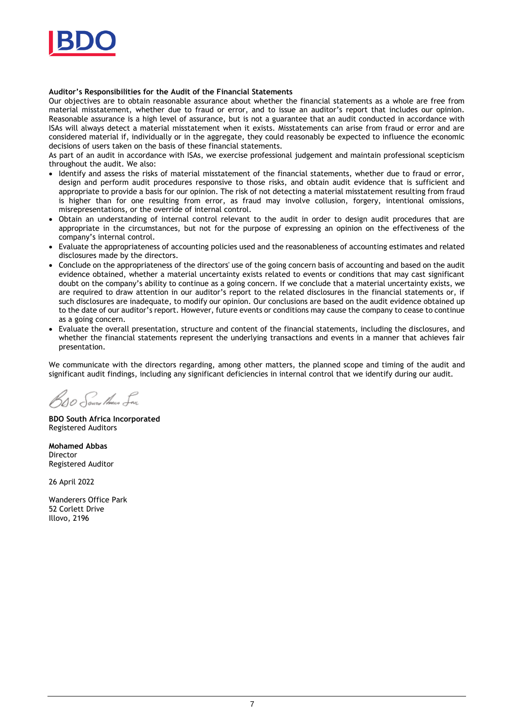

#### **Auditor's Responsibilities for the Audit of the Financial Statements**

Our objectives are to obtain reasonable assurance about whether the financial statements as a whole are free from material misstatement, whether due to fraud or error, and to issue an auditor's report that includes our opinion. Reasonable assurance is a high level of assurance, but is not a guarantee that an audit conducted in accordance with ISAs will always detect a material misstatement when it exists. Misstatements can arise from fraud or error and are considered material if, individually or in the aggregate, they could reasonably be expected to influence the economic decisions of users taken on the basis of these financial statements.

As part of an audit in accordance with ISAs, we exercise professional judgement and maintain professional scepticism throughout the audit. We also:

- Identify and assess the risks of material misstatement of the financial statements, whether due to fraud or error, design and perform audit procedures responsive to those risks, and obtain audit evidence that is sufficient and appropriate to provide a basis for our opinion. The risk of not detecting a material misstatement resulting from fraud is higher than for one resulting from error, as fraud may involve collusion, forgery, intentional omissions, misrepresentations, or the override of internal control.
- Obtain an understanding of internal control relevant to the audit in order to design audit procedures that are appropriate in the circumstances, but not for the purpose of expressing an opinion on the effectiveness of the company's internal control.
- Evaluate the appropriateness of accounting policies used and the reasonableness of accounting estimates and related disclosures made by the directors.
- Conclude on the appropriateness of the directors' use of the going concern basis of accounting and based on the audit evidence obtained, whether a material uncertainty exists related to events or conditions that may cast significant doubt on the company's ability to continue as a going concern. If we conclude that a material uncertainty exists, we are required to draw attention in our auditor's report to the related disclosures in the financial statements or, if such disclosures are inadequate, to modify our opinion. Our conclusions are based on the audit evidence obtained up to the date of our auditor's report. However, future events or conditions may cause the company to cease to continue as a going concern.
- Evaluate the overall presentation, structure and content of the financial statements, including the disclosures, and whether the financial statements represent the underlying transactions and events in a manner that achieves fair presentation.

We communicate with the directors regarding, among other matters, the planned scope and timing of the audit and significant audit findings, including any significant deficiencies in internal control that we identify during our audit.

BAO Soung *Hour* Love

**BDO South Africa Incorporated** Registered Auditors

**Mohamed Abbas Director** Registered Auditor

26 April 2022

Wanderers Office Park 52 Corlett Drive Illovo, 2196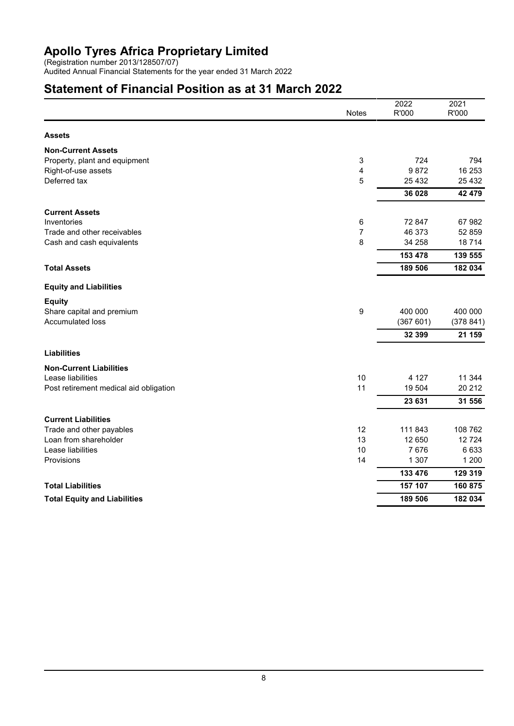(Registration number 2013/128507/07)

Audited Annual Financial Statements for the year ended 31 March 2022

# **Statement of Financial Position as at 31 March 2022**

|                                        | Notes            | 2022<br>R'000 | 2021<br>R'000 |
|----------------------------------------|------------------|---------------|---------------|
|                                        |                  |               |               |
| <b>Assets</b>                          |                  |               |               |
| <b>Non-Current Assets</b>              |                  |               |               |
| Property, plant and equipment          | 3                | 724           | 794           |
| Right-of-use assets                    | 4                | 9872          | 16 253        |
| Deferred tax                           | $\overline{5}$   | 25 4 32       | 25 4 32       |
|                                        |                  | 36 028        | 42 479        |
| <b>Current Assets</b>                  |                  |               |               |
| Inventories                            | $\,6$            | 72 847        | 67 982        |
| Trade and other receivables            | $\overline{7}$   | 46 373        | 52 859        |
| Cash and cash equivalents              | 8                | 34 258        | 18714         |
|                                        |                  | 153 478       | 139 555       |
| <b>Total Assets</b>                    |                  | 189 506       | 182 034       |
| <b>Equity and Liabilities</b>          |                  |               |               |
| <b>Equity</b>                          |                  |               |               |
| Share capital and premium              | $\boldsymbol{9}$ | 400 000       | 400 000       |
| <b>Accumulated loss</b>                |                  | (367601)      | (378841)      |
|                                        |                  | 32 399        | 21 159        |
| <b>Liabilities</b>                     |                  |               |               |
| <b>Non-Current Liabilities</b>         |                  |               |               |
| Lease liabilities                      | 10               | 4 1 2 7       | 11 344        |
| Post retirement medical aid obligation | 11               | 19 504        | 20 21 2       |
|                                        |                  | 23 631        | 31 556        |
| <b>Current Liabilities</b>             |                  |               |               |
| Trade and other payables               | 12               | 111 843       | 108 762       |
| Loan from shareholder                  | 13               | 12 650        | 12724         |
| Lease liabilities                      | 10               | 7676          | 6633          |
| Provisions                             | 14               | 1 307         | 1 200         |
|                                        |                  | 133 476       | 129 319       |
| <b>Total Liabilities</b>               |                  | 157 107       | 160 875       |
| <b>Total Equity and Liabilities</b>    |                  | 189 506       | 182 034       |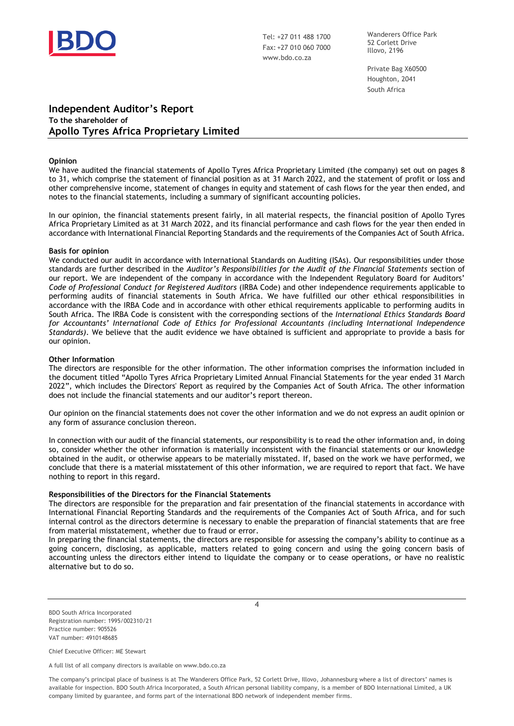

Tel: +27 011 488 1700 Fax: +27 010 060 7000 www.bdo.co.za

Wanderers Office Park 52 Corlett Drive Illovo, 2196

Private Bag X60500 Houghton, 2041 South Africa

## **Independent Auditor's Report To the shareholder of Apollo Tyres Africa Proprietary Limited**

#### **Opinion**

We have audited the financial statements of Apollo Tyres Africa Proprietary Limited (the company) set out on pages 8 to 31, which comprise the statement of financial position as at 31 March 2022, and the statement of profit or loss and other comprehensive income, statement of changes in equity and statement of cash flows for the year then ended, and notes to the financial statements, including a summary of significant accounting policies.

In our opinion, the financial statements present fairly, in all material respects, the financial position of Apollo Tyres Africa Proprietary Limited as at 31 March 2022, and its financial performance and cash flows for the year then ended in accordance with International Financial Reporting Standards and the requirements of the Companies Act of South Africa.

#### **Basis for opinion**

We conducted our audit in accordance with International Standards on Auditing (ISAs). Our responsibilities under those standards are further described in the *Auditor's Responsibilities for the Audit of the Financial Statements* section of our report. We are independent of the company in accordance with the Independent Regulatory Board for Auditors' *Code of Professional Conduct for Registered Auditors* (IRBA Code) and other independence requirements applicable to performing audits of financial statements in South Africa. We have fulfilled our other ethical responsibilities in accordance with the IRBA Code and in accordance with other ethical requirements applicable to performing audits in South Africa. The IRBA Code is consistent with the corresponding sections of the *International Ethics Standards Board for Accountants' International Code of Ethics for Professional Accountants (including International Independence Standards)*. We believe that the audit evidence we have obtained is sufficient and appropriate to provide a basis for our opinion.

#### **Other Information**

The directors are responsible for the other information. The other information comprises the information included in the document titled "Apollo Tyres Africa Proprietary Limited Annual Financial Statements for the year ended 31 March 2022", which includes the Directors' Report as required by the Companies Act of South Africa. The other information does not include the financial statements and our auditor's report thereon.

Our opinion on the financial statements does not cover the other information and we do not express an audit opinion or any form of assurance conclusion thereon.

In connection with our audit of the financial statements, our responsibility is to read the other information and, in doing so, consider whether the other information is materially inconsistent with the financial statements or our knowledge obtained in the audit, or otherwise appears to be materially misstated. If, based on the work we have performed, we conclude that there is a material misstatement of this other information, we are required to report that fact. We have nothing to report in this regard.

#### **Responsibilities of the Directors for the Financial Statements**

The directors are responsible for the preparation and fair presentation of the financial statements in accordance with International Financial Reporting Standards and the requirements of the Companies Act of South Africa, and for such internal control as the directors determine is necessary to enable the preparation of financial statements that are free from material misstatement, whether due to fraud or error.

In preparing the financial statements, the directors are responsible for assessing the company's ability to continue as a going concern, disclosing, as applicable, matters related to going concern and using the going concern basis of accounting unless the directors either intend to liquidate the company or to cease operations, or have no realistic alternative but to do so.

4

BDO South Africa Incorporated Registration number: 1995/002310/21 Practice number: 905526 VAT number: 4910148685

Chief Executive Officer: ME Stewart

A full list of all company directors is available on www.bdo.co.za

The company's principal place of business is at The Wanderers Office Park, 52 Corlett Drive, Illovo, Johannesburg where a list of directors' names is available for inspection. BDO South Africa Incorporated, a South African personal liability company, is a member of BDO International Limited, a UK company limited by guarantee, and forms part of the international BDO network of independent member firms.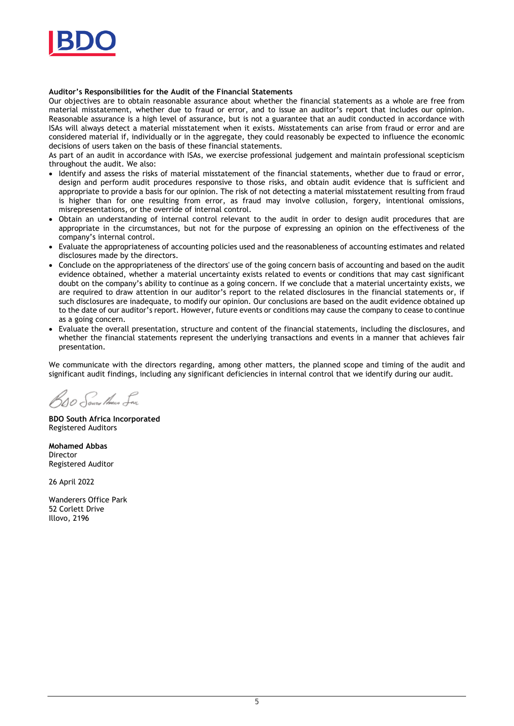

#### **Auditor's Responsibilities for the Audit of the Financial Statements**

Our objectives are to obtain reasonable assurance about whether the financial statements as a whole are free from material misstatement, whether due to fraud or error, and to issue an auditor's report that includes our opinion. Reasonable assurance is a high level of assurance, but is not a guarantee that an audit conducted in accordance with ISAs will always detect a material misstatement when it exists. Misstatements can arise from fraud or error and are considered material if, individually or in the aggregate, they could reasonably be expected to influence the economic decisions of users taken on the basis of these financial statements.

As part of an audit in accordance with ISAs, we exercise professional judgement and maintain professional scepticism throughout the audit. We also:

- Identify and assess the risks of material misstatement of the financial statements, whether due to fraud or error, design and perform audit procedures responsive to those risks, and obtain audit evidence that is sufficient and appropriate to provide a basis for our opinion. The risk of not detecting a material misstatement resulting from fraud is higher than for one resulting from error, as fraud may involve collusion, forgery, intentional omissions, misrepresentations, or the override of internal control.
- Obtain an understanding of internal control relevant to the audit in order to design audit procedures that are appropriate in the circumstances, but not for the purpose of expressing an opinion on the effectiveness of the company's internal control.
- Evaluate the appropriateness of accounting policies used and the reasonableness of accounting estimates and related disclosures made by the directors.
- Conclude on the appropriateness of the directors' use of the going concern basis of accounting and based on the audit evidence obtained, whether a material uncertainty exists related to events or conditions that may cast significant doubt on the company's ability to continue as a going concern. If we conclude that a material uncertainty exists, we are required to draw attention in our auditor's report to the related disclosures in the financial statements or, if such disclosures are inadequate, to modify our opinion. Our conclusions are based on the audit evidence obtained up to the date of our auditor's report. However, future events or conditions may cause the company to cease to continue as a going concern.
- Evaluate the overall presentation, structure and content of the financial statements, including the disclosures, and whether the financial statements represent the underlying transactions and events in a manner that achieves fair presentation.

We communicate with the directors regarding, among other matters, the planned scope and timing of the audit and significant audit findings, including any significant deficiencies in internal control that we identify during our audit.

BAO Soung *Hour* Love

**BDO South Africa Incorporated** Registered Auditors

**Mohamed Abbas Director** Registered Auditor

26 April 2022

Wanderers Office Park 52 Corlett Drive Illovo, 2196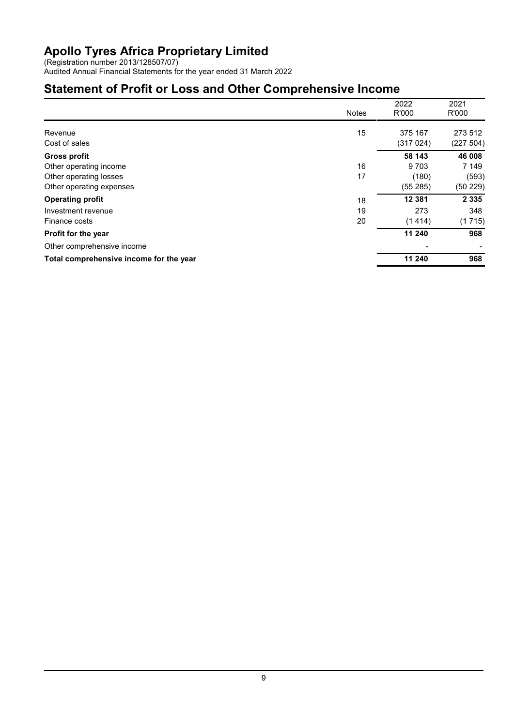(Registration number 2013/128507/07)

Audited Annual Financial Statements for the year ended 31 March 2022

# **Statement of Profit or Loss and Other Comprehensive Income**

|                                         | <b>Notes</b> | 2022<br>R'000 | 2021<br>R'000 |
|-----------------------------------------|--------------|---------------|---------------|
|                                         |              |               |               |
| Revenue                                 | 15           | 375 167       | 273 512       |
| Cost of sales                           |              | (317024)      | (227504)      |
| Gross profit                            |              | 58 143        | 46 008        |
| Other operating income                  | 16           | 9 7 0 3       | 7 149         |
| Other operating losses                  | 17           | (180)         | (593)         |
| Other operating expenses                |              | (55 285)      | (50229)       |
| <b>Operating profit</b>                 | 18           | 12 3 8 1      | 2 3 3 5       |
| Investment revenue                      | 19           | 273           | 348           |
| Finance costs                           | 20           | (1414)        | (1715)        |
| Profit for the year                     |              | 11 240        | 968           |
| Other comprehensive income              |              |               |               |
| Total comprehensive income for the year |              | 11 240        | 968           |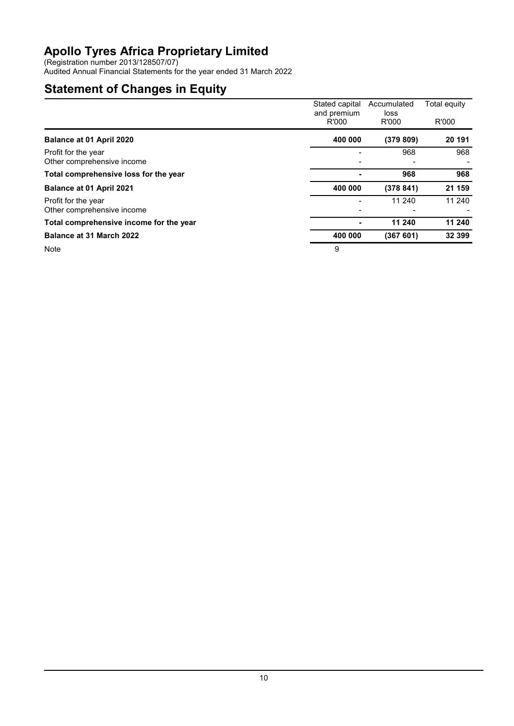(Registration number 2013/128507/07)

Audited Annual Financial Statements for the year ended 31 March 2022

# **Statement of Changes in Equity**

|                                                   | Stated capital<br>and premium<br>R'000 | Accumulated<br>loss<br>R'000 | Total equity<br>R'000 |
|---------------------------------------------------|----------------------------------------|------------------------------|-----------------------|
| Balance at 01 April 2020                          | 400 000                                | (379 809)                    | 20 191                |
| Profit for the year<br>Other comprehensive income |                                        | 968                          | 968                   |
| Total comprehensive loss for the year             |                                        | 968                          | 968                   |
| <b>Balance at 01 April 2021</b>                   | 400 000                                | (378841)                     | 21 159                |
| Profit for the year<br>Other comprehensive income |                                        | 11 240                       | 11 240                |
| Total comprehensive income for the year           |                                        | 11 240                       | 11 240                |
| Balance at 31 March 2022                          | 400 000                                | (367 601)                    | 32 399                |
| Note                                              | 9                                      |                              |                       |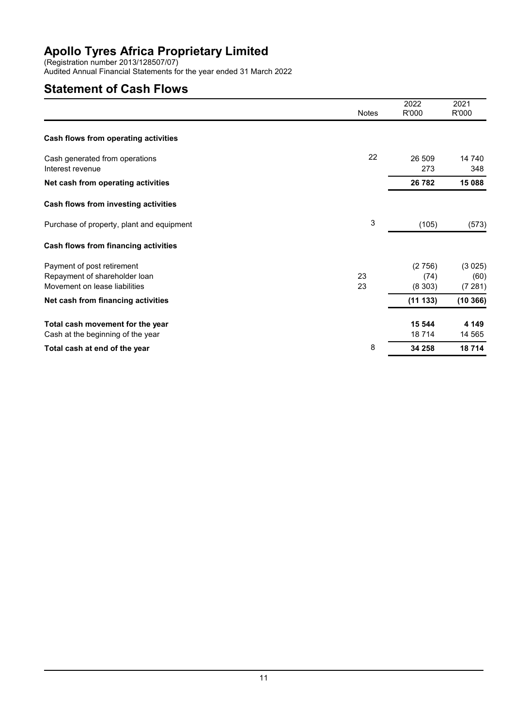(Registration number 2013/128507/07)

Audited Annual Financial Statements for the year ended 31 March 2022

# **Statement of Cash Flows**

|                                                    | <b>Notes</b> | 2022<br>R'000 | 2021<br>R'000 |
|----------------------------------------------------|--------------|---------------|---------------|
| Cash flows from operating activities               |              |               |               |
| Cash generated from operations<br>Interest revenue | 22           | 26 509<br>273 | 14 740<br>348 |
| Net cash from operating activities                 |              | 26 782        | 15 088        |
| Cash flows from investing activities               |              |               |               |
| Purchase of property, plant and equipment          | 3            | (105)         | (573)         |
| Cash flows from financing activities               |              |               |               |
| Payment of post retirement                         |              | (2756)        | (3025)        |
| Repayment of shareholder loan                      | 23           | (74)          | (60)          |
| Movement on lease liabilities                      | 23           | (8303)        | (7281)        |
| Net cash from financing activities                 |              | (11133)       | (10366)       |
| Total cash movement for the year                   |              | 15 544        | 4 1 4 9       |
| Cash at the beginning of the year                  |              | 18714         | 14 565        |
| Total cash at end of the year                      | 8            | 34 258        | 18714         |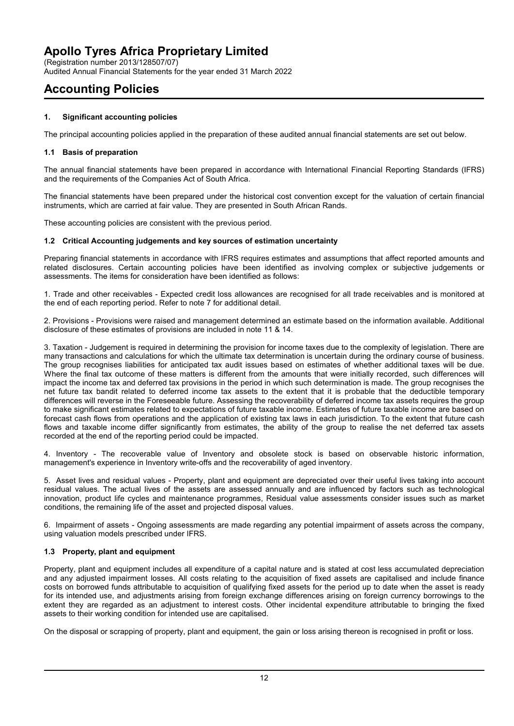(Registration number 2013/128507/07) Audited Annual Financial Statements for the year ended 31 March 2022

# **Accounting Policies**

### **1. Significant accounting policies**

The principal accounting policies applied in the preparation of these audited annual financial statements are set out below.

### **1.1 Basis of preparation**

The annual financial statements have been prepared in accordance with International Financial Reporting Standards (IFRS) and the requirements of the Companies Act of South Africa.

The financial statements have been prepared under the historical cost convention except for the valuation of certain financial instruments, which are carried at fair value. They are presented in South African Rands.

These accounting policies are consistent with the previous period.

### **1.2 Critical Accounting judgements and key sources of estimation uncertainty**

Preparing financial statements in accordance with IFRS requires estimates and assumptions that affect reported amounts and related disclosures. Certain accounting policies have been identified as involving complex or subjective judgements or assessments. The items for consideration have been identified as follows:

1. Trade and other receivables - Expected credit loss allowances are recognised for all trade receivables and is monitored at the end of each reporting period. Refer to note 7 for additional detail.

2. Provisions - Provisions were raised and management determined an estimate based on the information available. Additional disclosure of these estimates of provisions are included in note 11 & 14.

3. Taxation - Judgement is required in determining the provision for income taxes due to the complexity of legislation. There are many transactions and calculations for which the ultimate tax determination is uncertain during the ordinary course of business. The group recognises liabilities for anticipated tax audit issues based on estimates of whether additional taxes will be due. Where the final tax outcome of these matters is different from the amounts that were initially recorded, such differences will impact the income tax and deferred tax provisions in the period in which such determination is made. The group recognises the net future tax bandit related to deferred income tax assets to the extent that it is probable that the deductible temporary differences will reverse in the Foreseeable future. Assessing the recoverability of deferred income tax assets requires the group to make significant estimates related to expectations of future taxable income. Estimates of future taxable income are based on forecast cash flows from operations and the application of existing tax laws in each jurisdiction. To the extent that future cash flows and taxable income differ significantly from estimates, the ability of the group to realise the net deferred tax assets recorded at the end of the reporting period could be impacted.

4. Inventory - The recoverable value of Inventory and obsolete stock is based on observable historic information, management's experience in Inventory write-offs and the recoverability of aged inventory.

5. Asset lives and residual values - Property, plant and equipment are depreciated over their useful lives taking into account residual values. The actual lives of the assets are assessed annually and are influenced by factors such as technological innovation, product life cycles and maintenance programmes, Residual value assessments consider issues such as market conditions, the remaining life of the asset and projected disposal values.

6. Impairment of assets - Ongoing assessments are made regarding any potential impairment of assets across the company, using valuation models prescribed under IFRS.

### **1.3 Property, plant and equipment**

Property, plant and equipment includes all expenditure of a capital nature and is stated at cost less accumulated depreciation and any adjusted impairment losses. All costs relating to the acquisition of fixed assets are capitalised and include finance costs on borrowed funds attributable to acquisition of qualifying fixed assets for the period up to date when the asset is ready for its intended use, and adjustments arising from foreign exchange differences arising on foreign currency borrowings to the extent they are regarded as an adjustment to interest costs. Other incidental expenditure attributable to bringing the fixed assets to their working condition for intended use are capitalised.

On the disposal or scrapping of property, plant and equipment, the gain or loss arising thereon is recognised in profit or loss.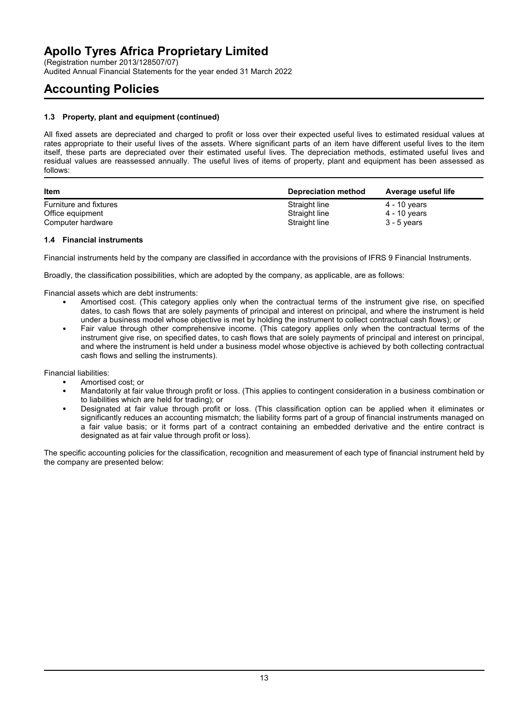(Registration number 2013/128507/07) Audited Annual Financial Statements for the year ended 31 March 2022

# **Accounting Policies**

### **1.3 Property, plant and equipment (continued)**

All fixed assets are depreciated and charged to profit or loss over their expected useful lives to estimated residual values at rates appropriate to their useful lives of the assets. Where significant parts of an item have different useful lives to the item itself, these parts are depreciated over their estimated useful lives. The depreciation methods, estimated useful lives and residual values are reassessed annually. The useful lives of items of property, plant and equipment has been assessed as follows:

| <b>Item</b>            | Depreciation method | Average useful life |
|------------------------|---------------------|---------------------|
| Furniture and fixtures | Straight line       | 4 - 10 years        |
| Office equipment       | Straight line       | $4 - 10$ years      |
| Computer hardware      | Straight line       | $3 - 5$ years       |

### **1.4 Financial instruments**

Financial instruments held by the company are classified in accordance with the provisions of IFRS 9 Financial Instruments.

Broadly, the classification possibilities, which are adopted by the company, as applicable, are as follows:

Financial assets which are debt instruments:

- Amortised cost. (This category applies only when the contractual terms of the instrument give rise, on specified dates, to cash flows that are solely payments of principal and interest on principal, and where the instrument is held under a business model whose objective is met by holding the instrument to collect contractual cash flows); or
- Fair value through other comprehensive income. (This category applies only when the contractual terms of the instrument give rise, on specified dates, to cash flows that are solely payments of principal and interest on principal, and where the instrument is held under a business model whose objective is achieved by both collecting contractual cash flows and selling the instruments).

Financial liabilities:

- Amortised cost; or
- Mandatorily at fair value through profit or loss. (This applies to contingent consideration in a business combination or to liabilities which are held for trading); or
- Designated at fair value through profit or loss. (This classification option can be applied when it eliminates or significantly reduces an accounting mismatch; the liability forms part of a group of financial instruments managed on a fair value basis; or it forms part of a contract containing an embedded derivative and the entire contract is designated as at fair value through profit or loss).

The specific accounting policies for the classification, recognition and measurement of each type of financial instrument held by the company are presented below: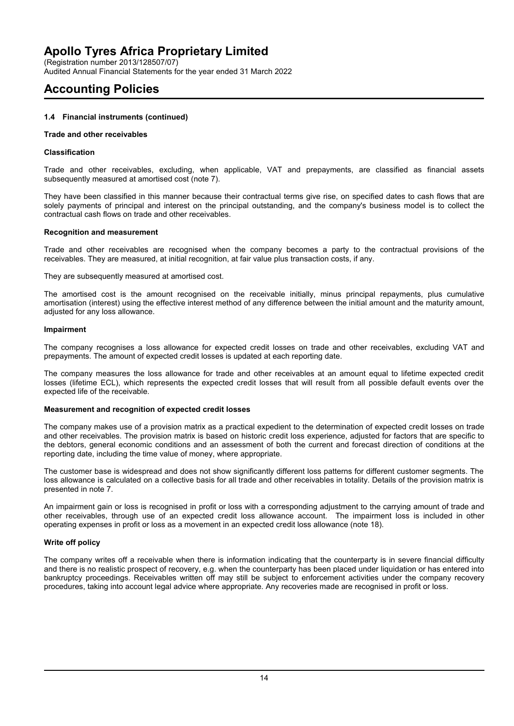(Registration number 2013/128507/07) Audited Annual Financial Statements for the year ended 31 March 2022

# **Accounting Policies**

### **1.4 Financial instruments (continued)**

### **Trade and other receivables**

### **Classification**

Trade and other receivables, excluding, when applicable, VAT and prepayments, are classified as financial assets subsequently measured at amortised cost (note 7).

They have been classified in this manner because their contractual terms give rise, on specified dates to cash flows that are solely payments of principal and interest on the principal outstanding, and the company's business model is to collect the contractual cash flows on trade and other receivables.

#### **Recognition and measurement**

Trade and other receivables are recognised when the company becomes a party to the contractual provisions of the receivables. They are measured, at initial recognition, at fair value plus transaction costs, if any.

They are subsequently measured at amortised cost.

The amortised cost is the amount recognised on the receivable initially, minus principal repayments, plus cumulative amortisation (interest) using the effective interest method of any difference between the initial amount and the maturity amount, adjusted for any loss allowance.

#### **Impairment**

The company recognises a loss allowance for expected credit losses on trade and other receivables, excluding VAT and prepayments. The amount of expected credit losses is updated at each reporting date.

The company measures the loss allowance for trade and other receivables at an amount equal to lifetime expected credit losses (lifetime ECL), which represents the expected credit losses that will result from all possible default events over the expected life of the receivable.

### **Measurement and recognition of expected credit losses**

The company makes use of a provision matrix as a practical expedient to the determination of expected credit losses on trade and other receivables. The provision matrix is based on historic credit loss experience, adjusted for factors that are specific to the debtors, general economic conditions and an assessment of both the current and forecast direction of conditions at the reporting date, including the time value of money, where appropriate.

The customer base is widespread and does not show significantly different loss patterns for different customer segments. The loss allowance is calculated on a collective basis for all trade and other receivables in totality. Details of the provision matrix is presented in note 7.

An impairment gain or loss is recognised in profit or loss with a corresponding adjustment to the carrying amount of trade and other receivables, through use of an expected credit loss allowance account. The impairment loss is included in other operating expenses in profit or loss as a movement in an expected credit loss allowance (note 18).

### **Write off policy**

The company writes off a receivable when there is information indicating that the counterparty is in severe financial difficulty and there is no realistic prospect of recovery, e.g. when the counterparty has been placed under liquidation or has entered into bankruptcy proceedings. Receivables written off may still be subject to enforcement activities under the company recovery procedures, taking into account legal advice where appropriate. Any recoveries made are recognised in profit or loss.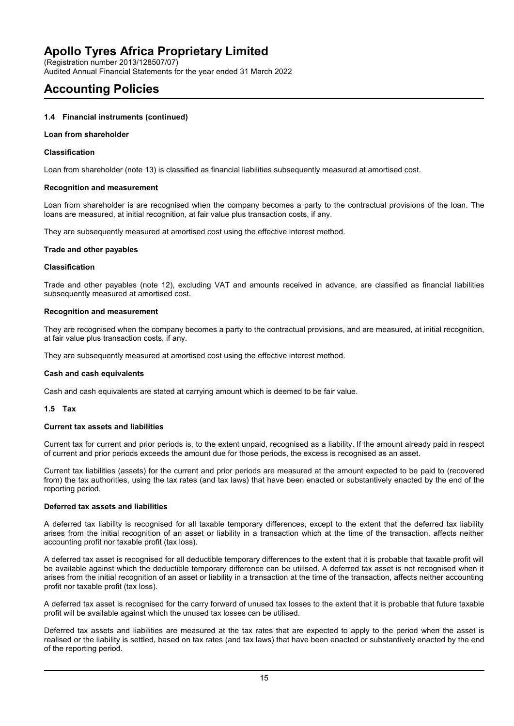(Registration number 2013/128507/07)

Audited Annual Financial Statements for the year ended 31 March 2022

# **Accounting Policies**

### **1.4 Financial instruments (continued)**

### **Loan from shareholder**

### **Classification**

Loan from shareholder (note 13) is classified as financial liabilities subsequently measured at amortised cost.

#### **Recognition and measurement**

Loan from shareholder is are recognised when the company becomes a party to the contractual provisions of the loan. The loans are measured, at initial recognition, at fair value plus transaction costs, if any.

They are subsequently measured at amortised cost using the effective interest method.

#### **Trade and other payables**

#### **Classification**

Trade and other payables (note 12), excluding VAT and amounts received in advance, are classified as financial liabilities subsequently measured at amortised cost.

#### **Recognition and measurement**

They are recognised when the company becomes a party to the contractual provisions, and are measured, at initial recognition, at fair value plus transaction costs, if any.

They are subsequently measured at amortised cost using the effective interest method.

#### **Cash and cash equivalents**

Cash and cash equivalents are stated at carrying amount which is deemed to be fair value.

#### **1.5 Tax**

#### **Current tax assets and liabilities**

Current tax for current and prior periods is, to the extent unpaid, recognised as a liability. If the amount already paid in respect of current and prior periods exceeds the amount due for those periods, the excess is recognised as an asset.

Current tax liabilities (assets) for the current and prior periods are measured at the amount expected to be paid to (recovered from) the tax authorities, using the tax rates (and tax laws) that have been enacted or substantively enacted by the end of the reporting period.

### **Deferred tax assets and liabilities**

A deferred tax liability is recognised for all taxable temporary differences, except to the extent that the deferred tax liability arises from the initial recognition of an asset or liability in a transaction which at the time of the transaction, affects neither accounting profit nor taxable profit (tax loss).

A deferred tax asset is recognised for all deductible temporary differences to the extent that it is probable that taxable profit will be available against which the deductible temporary difference can be utilised. A deferred tax asset is not recognised when it arises from the initial recognition of an asset or liability in a transaction at the time of the transaction, affects neither accounting profit nor taxable profit (tax loss).

A deferred tax asset is recognised for the carry forward of unused tax losses to the extent that it is probable that future taxable profit will be available against which the unused tax losses can be utilised.

Deferred tax assets and liabilities are measured at the tax rates that are expected to apply to the period when the asset is realised or the liability is settled, based on tax rates (and tax laws) that have been enacted or substantively enacted by the end of the reporting period.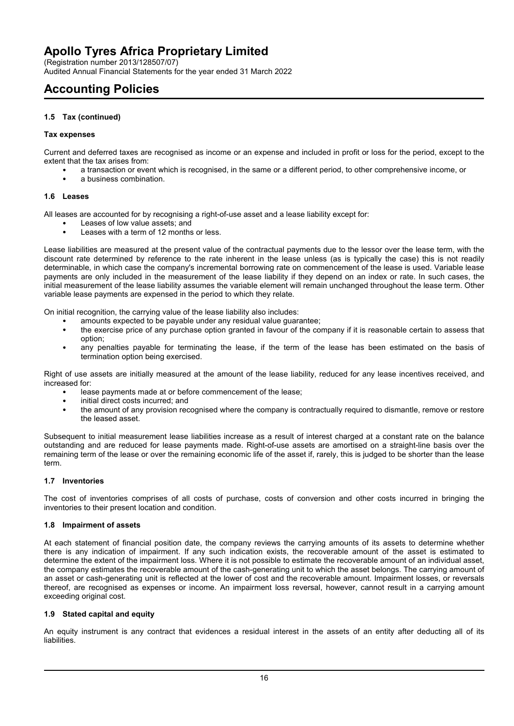(Registration number 2013/128507/07) Audited Annual Financial Statements for the year ended 31 March 2022

# **Accounting Policies**

### **1.5 Tax (continued)**

### **Tax expenses**

Current and deferred taxes are recognised as income or an expense and included in profit or loss for the period, except to the extent that the tax arises from:

- a transaction or event which is recognised, in the same or a different period, to other comprehensive income, or
- a business combination.

### **1.6 Leases**

All leases are accounted for by recognising a right-of-use asset and a lease liability except for:

- Leases of low value assets; and
- Leases with a term of 12 months or less.

Lease liabilities are measured at the present value of the contractual payments due to the lessor over the lease term, with the discount rate determined by reference to the rate inherent in the lease unless (as is typically the case) this is not readily determinable, in which case the company's incremental borrowing rate on commencement of the lease is used. Variable lease payments are only included in the measurement of the lease liability if they depend on an index or rate. In such cases, the initial measurement of the lease liability assumes the variable element will remain unchanged throughout the lease term. Other variable lease payments are expensed in the period to which they relate.

On initial recognition, the carrying value of the lease liability also includes:

- 
- amounts expected to be payable under any residual value guarantee;<br>• the exercise price of any nurchase option granted in favour of the co the exercise price of any purchase option granted in favour of the company if it is reasonable certain to assess that option;
- any penalties payable for terminating the lease, if the term of the lease has been estimated on the basis of termination option being exercised.

Right of use assets are initially measured at the amount of the lease liability, reduced for any lease incentives received, and increased for:

- lease payments made at or before commencement of the lease;
- initial direct costs incurred; and
- the amount of any provision recognised where the company is contractually required to dismantle, remove or restore the leased asset.

Subsequent to initial measurement lease liabilities increase as a result of interest charged at a constant rate on the balance outstanding and are reduced for lease payments made. Right-of-use assets are amortised on a straight-line basis over the remaining term of the lease or over the remaining economic life of the asset if, rarely, this is judged to be shorter than the lease term.

### **1.7 Inventories**

The cost of inventories comprises of all costs of purchase, costs of conversion and other costs incurred in bringing the inventories to their present location and condition.

### **1.8 Impairment of assets**

At each statement of financial position date, the company reviews the carrying amounts of its assets to determine whether there is any indication of impairment. If any such indication exists, the recoverable amount of the asset is estimated to determine the extent of the impairment loss. Where it is not possible to estimate the recoverable amount of an individual asset, the company estimates the recoverable amount of the cash-generating unit to which the asset belongs. The carrying amount of an asset or cash-generating unit is reflected at the lower of cost and the recoverable amount. Impairment losses, or reversals thereof, are recognised as expenses or income. An impairment loss reversal, however, cannot result in a carrying amount exceeding original cost.

### **1.9 Stated capital and equity**

An equity instrument is any contract that evidences a residual interest in the assets of an entity after deducting all of its liabilities.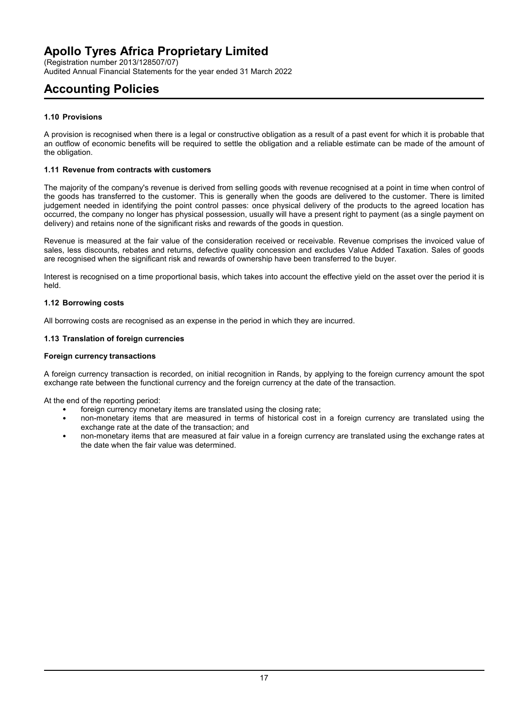(Registration number 2013/128507/07) Audited Annual Financial Statements for the year ended 31 March 2022

# **Accounting Policies**

### **1.10 Provisions**

A provision is recognised when there is a legal or constructive obligation as a result of a past event for which it is probable that an outflow of economic benefits will be required to settle the obligation and a reliable estimate can be made of the amount of the obligation.

### **1.11 Revenue from contracts with customers**

The majority of the company's revenue is derived from selling goods with revenue recognised at a point in time when control of the goods has transferred to the customer. This is generally when the goods are delivered to the customer. There is limited judgement needed in identifying the point control passes: once physical delivery of the products to the agreed location has occurred, the company no longer has physical possession, usually will have a present right to payment (as a single payment on delivery) and retains none of the significant risks and rewards of the goods in question.

Revenue is measured at the fair value of the consideration received or receivable. Revenue comprises the invoiced value of sales, less discounts, rebates and returns, defective quality concession and excludes Value Added Taxation. Sales of goods are recognised when the significant risk and rewards of ownership have been transferred to the buyer.

Interest is recognised on a time proportional basis, which takes into account the effective yield on the asset over the period it is held.

### **1.12 Borrowing costs**

All borrowing costs are recognised as an expense in the period in which they are incurred.

### **1.13 Translation of foreign currencies**

### **Foreign currency transactions**

A foreign currency transaction is recorded, on initial recognition in Rands, by applying to the foreign currency amount the spot exchange rate between the functional currency and the foreign currency at the date of the transaction.

At the end of the reporting period:

- foreign currency monetary items are translated using the closing rate;
- non-monetary items that are measured in terms of historical cost in a foreign currency are translated using the exchange rate at the date of the transaction; and
- non-monetary items that are measured at fair value in a foreign currency are translated using the exchange rates at the date when the fair value was determined.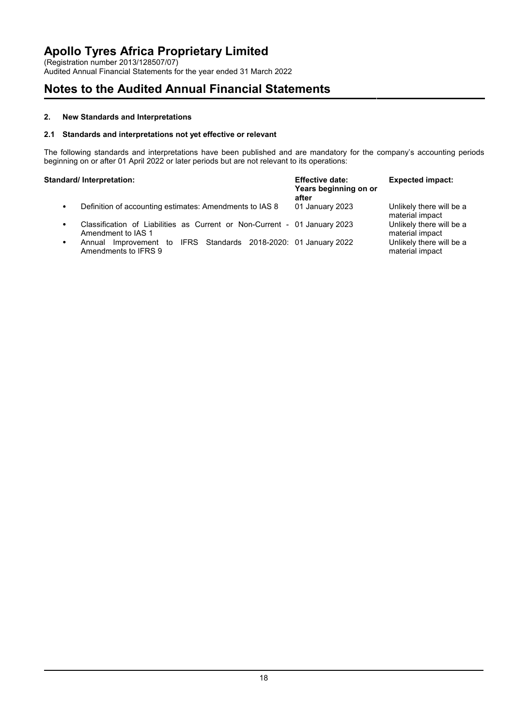(Registration number 2013/128507/07)

Audited Annual Financial Statements for the year ended 31 March 2022

## **Notes to the Audited Annual Financial Statements**

### **2. New Standards and Interpretations**

### **2.1 Standards and interpretations not yet effective or relevant**

The following standards and interpretations have been published and are mandatory for the company's accounting periods beginning on or after 01 April 2022 or later periods but are not relevant to its operations:

|   | Standard/ Interpretation:                                                                       | <b>Effective date:</b><br>Years beginning on or<br>after | <b>Expected impact:</b>                     |
|---|-------------------------------------------------------------------------------------------------|----------------------------------------------------------|---------------------------------------------|
| ٠ | Definition of accounting estimates: Amendments to IAS 8                                         | 01 January 2023                                          | Unlikely there will be a<br>material impact |
| ٠ | Classification of Liabilities as Current or Non-Current - 01 January 2023<br>Amendment to IAS 1 |                                                          | Unlikely there will be a<br>material impact |
| ٠ | Annual Improvement to IFRS Standards 2018-2020: 01 January 2022<br>Amendments to IFRS 9         |                                                          | Unlikely there will be a<br>material impact |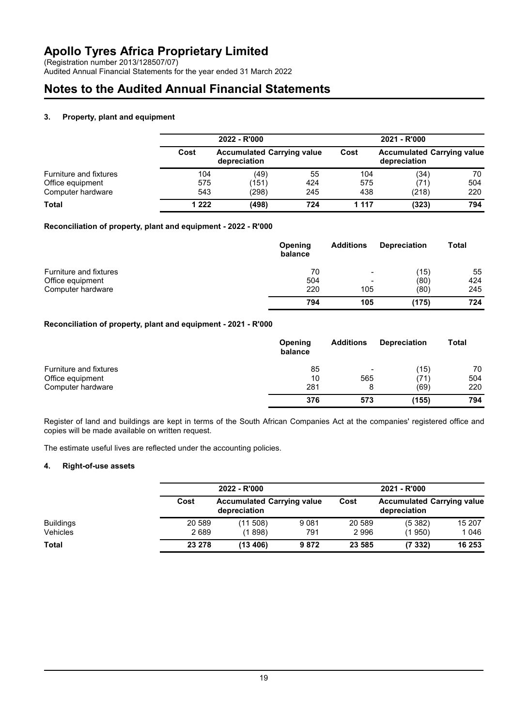(Registration number 2013/128507/07)

Audited Annual Financial Statements for the year ended 31 March 2022

## **Notes to the Audited Annual Financial Statements**

### **3. Property, plant and equipment**

|                               |       | 2022 - R'000                                      |     |         | 2021 - R'000 |                                   |
|-------------------------------|-------|---------------------------------------------------|-----|---------|--------------|-----------------------------------|
|                               | Cost  | <b>Accumulated Carrying value</b><br>depreciation |     | Cost    | depreciation | <b>Accumulated Carrying value</b> |
| <b>Furniture and fixtures</b> | 104   | (49)                                              | 55  | 104     | (34)         | 70                                |
| Office equipment              | 575   | (151)                                             | 424 | 575     | (71)         | 504                               |
| Computer hardware             | 543   | (298)                                             | 245 | 438     | (218)        | 220                               |
| <b>Total</b>                  | 1 222 | (498)                                             | 724 | 1 1 1 7 | (323)        | 794                               |

### **Reconciliation of property, plant and equipment - 2022 - R'000**

|                        | <b>Opening</b><br>balance | <b>Additions</b>         | <b>Depreciation</b> | Total |
|------------------------|---------------------------|--------------------------|---------------------|-------|
| Furniture and fixtures | 70                        | $\overline{\phantom{a}}$ | (15)                | 55    |
| Office equipment       | 504                       | $\,$                     | (80)                | 424   |
| Computer hardware      | 220                       | 105                      | (80)                | 245   |
|                        | 794                       | 105                      | (175)               | 724   |

### **Reconciliation of property, plant and equipment - 2021 - R'000**

|                        | <b>Opening</b><br>balance | <b>Additions</b> | <b>Depreciation</b> | <b>Total</b> |
|------------------------|---------------------------|------------------|---------------------|--------------|
| Furniture and fixtures | 85                        | $\blacksquare$   | (15)                | 70           |
| Office equipment       | 10                        | 565              | (71)                | 504          |
| Computer hardware      | 281                       | 8                | (69)                | 220          |
|                        | 376                       | 573              | (155)               | 794          |

Register of land and buildings are kept in terms of the South African Companies Act at the companies' registered office and copies will be made available on written request.

The estimate useful lives are reflected under the accounting policies.

### **4. Right-of-use assets**

|                  |        | 2022 - R'000                                      |      |        | 2021 - R'000 |                                   |
|------------------|--------|---------------------------------------------------|------|--------|--------------|-----------------------------------|
|                  | Cost   | <b>Accumulated Carrying value</b><br>depreciation |      | Cost   | depreciation | <b>Accumulated Carrying value</b> |
| <b>Buildings</b> | 20 589 | (11 508)                                          | 9081 | 20 589 | (5382)       | 15 207                            |
| <b>Vehicles</b>  | 2689   | (1 898)                                           | 791  | 2996   | (1950)       | 1 0 4 6                           |
| <b>Total</b>     | 23 278 | (13, 406)                                         | 9872 | 23 585 | (7 332)      | 16 253                            |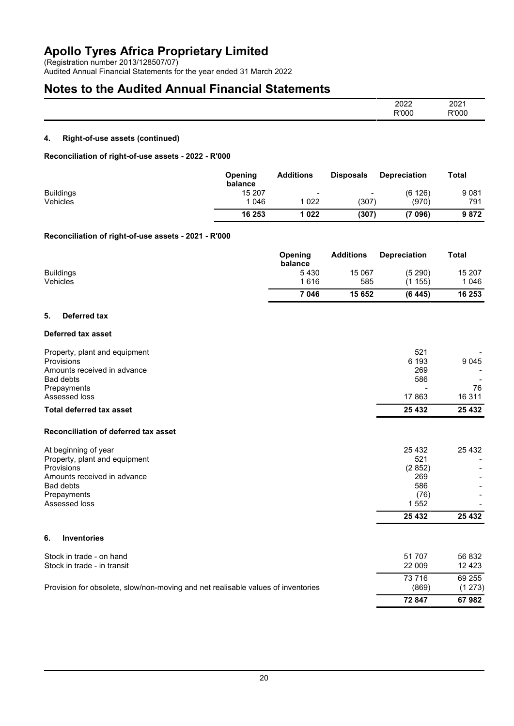(Registration number 2013/128507/07)

Audited Annual Financial Statements for the year ended 31 March 2022

# **Notes to the Audited Annual Financial Statements**

| 2022<br>R'000<br>. | 2021<br>R'000 |
|--------------------|---------------|
|                    |               |

## **4. Right-of-use assets (continued)**

### **Reconciliation of right-of-use assets - 2022 - R'000**

|                  | Opening<br>balance | <b>Additions</b> | <b>Disposals</b>         | <b>Depreciation</b> | <b>Total</b> |
|------------------|--------------------|------------------|--------------------------|---------------------|--------------|
| <b>Buildings</b> | 15 207             | $\sim$           | $\overline{\phantom{a}}$ | (6126)              | 9 0 8 1      |
| Vehicles         | 1046               | 1022             | (307                     | (970)               | 791          |
|                  | 16 253             | 1022             | (307)                    | (7 096)             | 9872         |

### **Reconciliation of right-of-use assets - 2021 - R'000**

|                                                                                  | Opening<br>balance | <b>Additions</b> | <b>Depreciation</b> | <b>Total</b> |
|----------------------------------------------------------------------------------|--------------------|------------------|---------------------|--------------|
| <b>Buildings</b>                                                                 | 5430               | 15 067           | (5290)              | 15 207       |
| Vehicles                                                                         | 1616               | 585              | (1155)              | 1 0 4 6      |
|                                                                                  | 7046               | 15 652           | (6445)              | 16 253       |
| <b>Deferred tax</b><br>5.                                                        |                    |                  |                     |              |
| <b>Deferred tax asset</b>                                                        |                    |                  |                     |              |
| Property, plant and equipment                                                    |                    |                  | 521                 |              |
| Provisions                                                                       |                    |                  | 6 193               | 9045         |
| Amounts received in advance                                                      |                    |                  | 269                 |              |
| <b>Bad debts</b>                                                                 |                    |                  | 586                 |              |
| Prepayments                                                                      |                    |                  |                     | 76           |
| Assessed loss                                                                    |                    |                  | 17863               | 16 311       |
| <b>Total deferred tax asset</b>                                                  |                    |                  | 25 4 32             | 25 432       |
| <b>Reconciliation of deferred tax asset</b>                                      |                    |                  |                     |              |
| At beginning of year                                                             |                    |                  | 25 4 32             | 25 4 32      |
| Property, plant and equipment                                                    |                    |                  | 521                 |              |
| Provisions                                                                       |                    |                  | (2852)              |              |
| Amounts received in advance                                                      |                    |                  | 269                 |              |
| <b>Bad debts</b>                                                                 |                    |                  | 586                 |              |
| Prepayments                                                                      |                    |                  | (76)                |              |
| Assessed loss                                                                    |                    |                  | 1 5 5 2             |              |
|                                                                                  |                    |                  | 25 432              | 25 4 32      |
| 6.<br><b>Inventories</b>                                                         |                    |                  |                     |              |
| Stock in trade - on hand                                                         |                    |                  | 51 707              | 56 832       |
| Stock in trade - in transit                                                      |                    |                  | 22 009              | 12 4 23      |
|                                                                                  |                    |                  | 73 716              | 69 255       |
| Provision for obsolete, slow/non-moving and net realisable values of inventories |                    |                  | (869)               | (1273)       |
|                                                                                  |                    |                  | 72 847              | 67982        |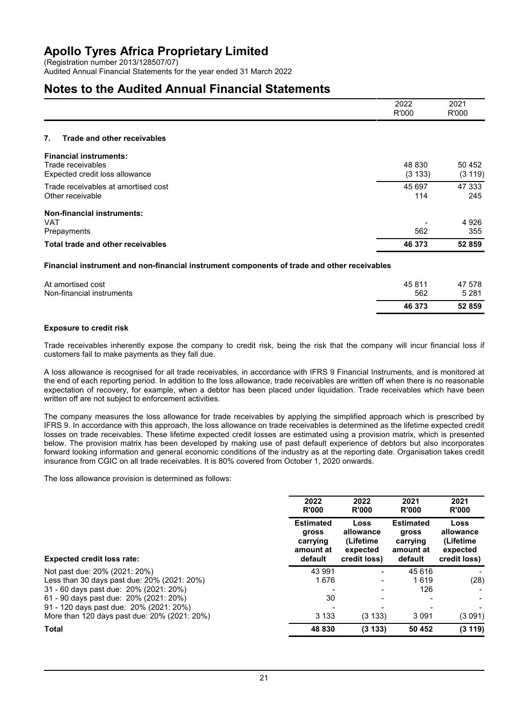(Registration number 2013/128507/07)

Audited Annual Financial Statements for the year ended 31 March 2022

## **Notes to the Audited Annual Financial Statements**

|                                                                                             | 2022<br>R'000    | 2021<br>R'000 |
|---------------------------------------------------------------------------------------------|------------------|---------------|
| <b>Trade and other receivables</b><br>7.                                                    |                  |               |
| <b>Financial instruments:</b>                                                               |                  |               |
| Trade receivables<br>Expected credit loss allowance                                         | 48 830<br>(3133) | 50 452        |
|                                                                                             |                  | (3 119)       |
| Trade receivables at amortised cost                                                         | 45 697           | 47 333        |
| Other receivable                                                                            | 114              | 245           |
| <b>Non-financial instruments:</b>                                                           |                  |               |
| <b>VAT</b>                                                                                  |                  | 4926          |
| Prepayments                                                                                 | 562              | 355           |
| Total trade and other receivables                                                           | 46 373           | 52 859        |
| Financial instrument and non-financial instrument components of trade and other receivables |                  |               |
| At amortised cost                                                                           | 45 811           | 47 578        |
| Non-financial instruments                                                                   | 562              | 5 2 8 1       |

### **Exposure to credit risk**

Trade receivables inherently expose the company to credit risk, being the risk that the company will incur financial loss if customers fail to make payments as they fall due.

**46 373 52 859**

A loss allowance is recognised for all trade receivables, in accordance with IFRS 9 Financial Instruments, and is monitored at the end of each reporting period. In addition to the loss allowance, trade receivables are written off when there is no reasonable expectation of recovery, for example, when a debtor has been placed under liquidation. Trade receivables which have been written off are not subject to enforcement activities.

The company measures the loss allowance for trade receivables by applying the simplified approach which is prescribed by IFRS 9. In accordance with this approach, the loss allowance on trade receivables is determined as the lifetime expected credit losses on trade receivables. These lifetime expected credit losses are estimated using a provision matrix, which is presented below. The provision matrix has been developed by making use of past default experience of debtors but also incorporates forward looking information and general economic conditions of the industry as at the reporting date. Organisation takes credit insurance from CGIC on all trade receivables. It is 80% covered from October 1, 2020 onwards.

The loss allowance provision is determined as follows:

|                                                    | 2022<br><b>R'000</b>                                          | 2022<br><b>R'000</b>                                        | 2021<br><b>R'000</b>                                          | 2021<br><b>R'000</b>                                       |
|----------------------------------------------------|---------------------------------------------------------------|-------------------------------------------------------------|---------------------------------------------------------------|------------------------------------------------------------|
| <b>Expected credit loss rate:</b>                  | <b>Estimated</b><br>gross<br>carrying<br>amount at<br>default | Loss<br>allowance<br>(Lifetime)<br>expected<br>credit loss) | <b>Estimated</b><br>gross<br>carrying<br>amount at<br>default | Loss<br>allowance<br>(Lifetime<br>expected<br>credit loss) |
| Not past due: 20% (2021: 20%)                      | 43 991                                                        | $\blacksquare$                                              | 45 616                                                        |                                                            |
| Less than 30 days past due: $20\%$ (2021: $20\%$ ) | 1676                                                          |                                                             | 1619                                                          | (28)                                                       |
| 31 - 60 days past due: 20% (2021: 20%)             |                                                               |                                                             | 126                                                           |                                                            |
| 61 - 90 days past due: 20% (2021: 20%)             | 30                                                            |                                                             |                                                               |                                                            |
| 91 - 120 days past due: 20% (2021: 20%)            |                                                               |                                                             |                                                               |                                                            |
| More than 120 days past due: 20% (2021: 20%)       | 3 1 3 3                                                       | (3 133)                                                     | 3 0 9 1                                                       | (3091)                                                     |
| <b>Total</b>                                       | 48 830                                                        | (3 133)                                                     | 50 452                                                        | (3 119)                                                    |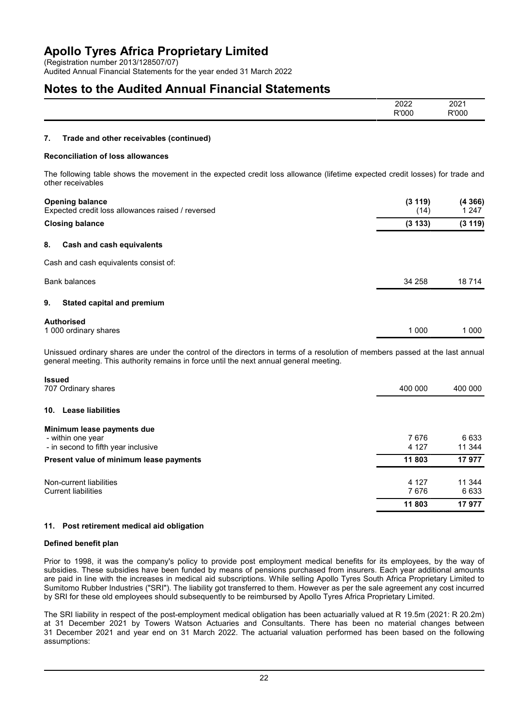(Registration number 2013/128507/07)

Audited Annual Financial Statements for the year ended 31 March 2022

## **Notes to the Audited Annual Financial Statements**

| 2022       | 2021  |
|------------|-------|
| R'000<br>. | R'000 |

### **7. Trade and other receivables (continued)**

#### **Reconciliation of loss allowances**

The following table shows the movement in the expected credit loss allowance (lifetime expected credit losses) for trade and other receivables

| <b>Opening balance</b><br>Expected credit loss allowances raised / reversed | (3119)<br>(14) | (4366)<br>1 247 |
|-----------------------------------------------------------------------------|----------------|-----------------|
| <b>Closing balance</b>                                                      | (3 133)        | (3 119)         |
| <b>Cash and cash equivalents</b><br>8.                                      |                |                 |
| Cash and cash equivalents consist of:                                       |                |                 |
| <b>Bank balances</b>                                                        | 34 258         | 18 7 14         |
| 9.<br>Stated capital and premium                                            |                |                 |
| <b>Authorised</b><br>1 000 ordinary shares                                  | 1 0 0 0        | 1 0 0 0         |

Unissued ordinary shares are under the control of the directors in terms of a resolution of members passed at the last annual general meeting. This authority remains in force until the next annual general meeting.

| <b>Issued</b><br>707 Ordinary shares                                                   | 400 000                   | 400 000                 |
|----------------------------------------------------------------------------------------|---------------------------|-------------------------|
| <b>Lease liabilities</b><br>10.                                                        |                           |                         |
| Minimum lease payments due<br>- within one year<br>- in second to fifth year inclusive | 7676<br>4 1 2 7           | 6 6 3 3<br>11 344       |
| Present value of minimum lease payments                                                | 11 803                    | 17977                   |
| Non-current liabilities<br><b>Current liabilities</b>                                  | 4 1 2 7<br>7676<br>11 803 | 11 344<br>6633<br>17977 |

### **11. Post retirement medical aid obligation**

#### **Defined benefit plan**

Prior to 1998, it was the company's policy to provide post employment medical benefits for its employees, by the way of subsidies. These subsidies have been funded by means of pensions purchased from insurers. Each year additional amounts are paid in line with the increases in medical aid subscriptions. While selling Apollo Tyres South Africa Proprietary Limited to Sumitomo Rubber Industries ("SRI"). The liability got transferred to them. However as per the sale agreement any cost incurred by SRI for these old employees should subsequently to be reimbursed by Apollo Tyres Africa Proprietary Limited.

The SRI liability in respect of the post-employment medical obligation has been actuarially valued at R 19.5m (2021: R 20.2m) at 31 December 2021 by Towers Watson Actuaries and Consultants. There has been no material changes between 31 December 2021 and year end on 31 March 2022. The actuarial valuation performed has been based on the following assumptions: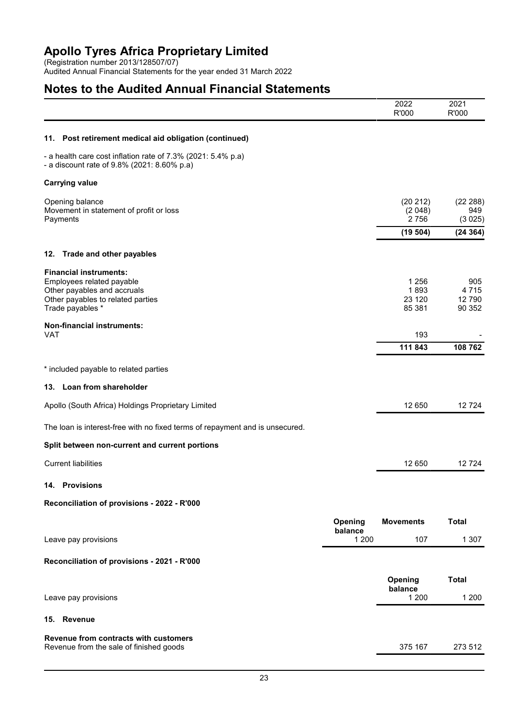(Registration number 2013/128507/07)

Audited Annual Financial Statements for the year ended 31 March 2022

# **Notes to the Audited Annual Financial Statements**

|                                                                                                                                                    |                    | 2022<br>R'000                       | 2021<br>R'000                     |
|----------------------------------------------------------------------------------------------------------------------------------------------------|--------------------|-------------------------------------|-----------------------------------|
| 11. Post retirement medical aid obligation (continued)                                                                                             |                    |                                     |                                   |
| - a health care cost inflation rate of 7.3% (2021: 5.4% p.a)<br>- a discount rate of 9.8% (2021: 8.60% p.a)                                        |                    |                                     |                                   |
| <b>Carrying value</b>                                                                                                                              |                    |                                     |                                   |
| Opening balance<br>Movement in statement of profit or loss<br>Payments                                                                             |                    | (20 212)<br>(2048)<br>2756          | (22 288)<br>949<br>(3025)         |
|                                                                                                                                                    |                    | (19504)                             | (24364)                           |
| 12. Trade and other payables                                                                                                                       |                    |                                     |                                   |
| <b>Financial instruments:</b><br>Employees related payable<br>Other payables and accruals<br>Other payables to related parties<br>Trade payables * |                    | 1 2 5 6<br>1893<br>23 120<br>85 381 | 905<br>4 7 1 5<br>12790<br>90 352 |
| <b>Non-financial instruments:</b>                                                                                                                  |                    |                                     |                                   |
| VAT                                                                                                                                                |                    | 193<br>111 843                      | 108 762                           |
| * included payable to related parties                                                                                                              |                    |                                     |                                   |
| 13. Loan from shareholder                                                                                                                          |                    |                                     |                                   |
| Apollo (South Africa) Holdings Proprietary Limited                                                                                                 |                    | 12 650                              | 12724                             |
| The loan is interest-free with no fixed terms of repayment and is unsecured.                                                                       |                    |                                     |                                   |
| Split between non-current and current portions                                                                                                     |                    |                                     |                                   |
| <b>Current liabilities</b>                                                                                                                         |                    | 12 650                              | 12724                             |
| 14.<br><b>Provisions</b>                                                                                                                           |                    |                                     |                                   |
| Reconciliation of provisions - 2022 - R'000                                                                                                        |                    |                                     |                                   |
|                                                                                                                                                    | Opening<br>balance | <b>Movements</b>                    | <b>Total</b>                      |
| Leave pay provisions                                                                                                                               | 1 200              | 107                                 | 1 3 0 7                           |
| Reconciliation of provisions - 2021 - R'000                                                                                                        |                    |                                     |                                   |
| Leave pay provisions                                                                                                                               |                    | Opening<br>balance<br>1 200         | <b>Total</b><br>1 200             |
|                                                                                                                                                    |                    |                                     |                                   |
| <b>Revenue</b><br>15.                                                                                                                              |                    |                                     |                                   |
| Revenue from contracts with customers<br>Revenue from the sale of finished goods                                                                   |                    | 375 167                             | 273 512                           |
|                                                                                                                                                    |                    |                                     |                                   |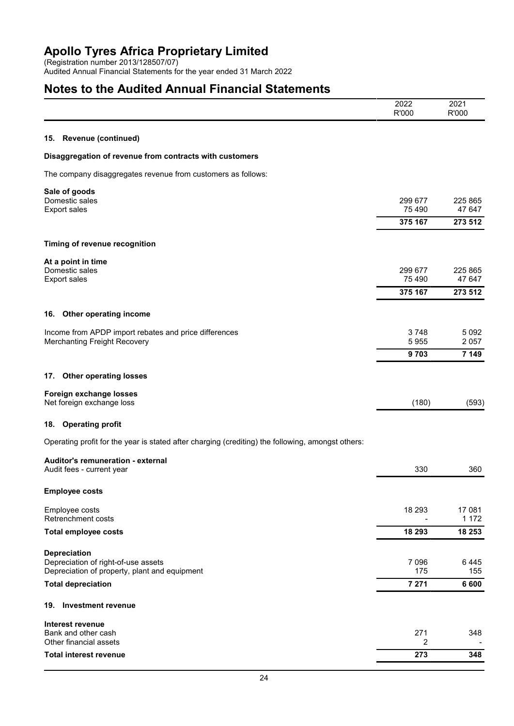(Registration number 2013/128507/07)

Audited Annual Financial Statements for the year ended 31 March 2022

## **Notes to the Audited Annual Financial Statements**

|                                                                                                   | 2022<br>R'000     | 2021<br>R'000      |
|---------------------------------------------------------------------------------------------------|-------------------|--------------------|
| 15. Revenue (continued)                                                                           |                   |                    |
| Disaggregation of revenue from contracts with customers                                           |                   |                    |
| The company disaggregates revenue from customers as follows:                                      |                   |                    |
| Sale of goods                                                                                     |                   |                    |
| Domestic sales<br><b>Export sales</b>                                                             | 299 677<br>75 490 | 225 865<br>47 647  |
|                                                                                                   | 375 167           | 273 512            |
| Timing of revenue recognition                                                                     |                   |                    |
| At a point in time                                                                                |                   |                    |
| Domestic sales<br><b>Export sales</b>                                                             | 299 677<br>75 490 | 225 865<br>47 647  |
|                                                                                                   | 375 167           | 273 512            |
| 16. Other operating income                                                                        |                   |                    |
| Income from APDP import rebates and price differences                                             | 3748              | 5 0 9 2            |
| <b>Merchanting Freight Recovery</b>                                                               | 5955<br>9703      | 2 0 5 7<br>7 1 4 9 |
|                                                                                                   |                   |                    |
| 17. Other operating losses                                                                        |                   |                    |
| Foreign exchange losses<br>Net foreign exchange loss                                              | (180)             | (593)              |
| 18. Operating profit                                                                              |                   |                    |
| Operating profit for the year is stated after charging (crediting) the following, amongst others: |                   |                    |
| <b>Auditor's remuneration - external</b>                                                          |                   |                    |
| Audit fees - current year                                                                         | 330               | 360                |
| <b>Employee costs</b>                                                                             |                   |                    |
| Employee costs<br>Retrenchment costs                                                              | 18 293            | 17 081<br>1 172    |
| <b>Total employee costs</b>                                                                       | 18 293            | 18 253             |
|                                                                                                   |                   |                    |
| <b>Depreciation</b><br>Depreciation of right-of-use assets                                        | 7 0 9 6           | 6445               |
| Depreciation of property, plant and equipment<br><b>Total depreciation</b>                        | 175<br>7 2 7 1    | 155<br>6600        |
|                                                                                                   |                   |                    |
| <b>Investment revenue</b><br>19.                                                                  |                   |                    |
| <b>Interest revenue</b><br>Bank and other cash                                                    | 271               | 348                |
| Other financial assets                                                                            | 2                 |                    |
| <b>Total interest revenue</b>                                                                     | 273               | 348                |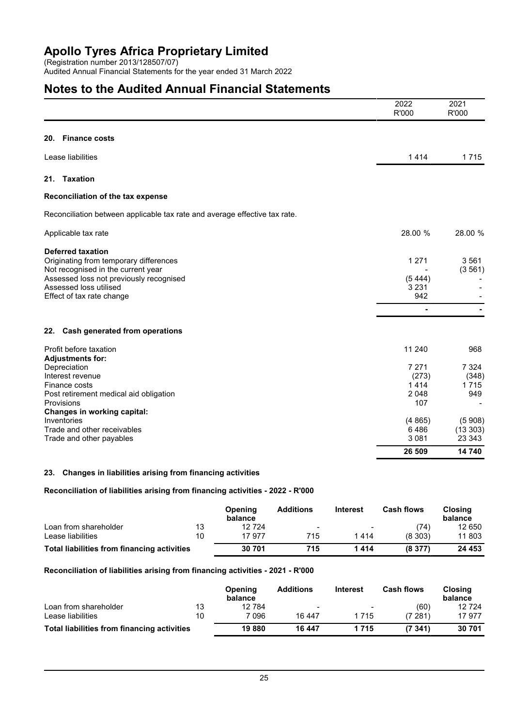(Registration number 2013/128507/07)

Audited Annual Financial Statements for the year ended 31 March 2022

# **Notes to the Audited Annual Financial Statements**

|                                                                                                                                                                                                            | 2022<br>R'000                              | 2021<br>R'000                   |
|------------------------------------------------------------------------------------------------------------------------------------------------------------------------------------------------------------|--------------------------------------------|---------------------------------|
| 20. Finance costs                                                                                                                                                                                          |                                            |                                 |
| Lease liabilities                                                                                                                                                                                          | 1414                                       | 1715                            |
| 21. Taxation                                                                                                                                                                                               |                                            |                                 |
| Reconciliation of the tax expense                                                                                                                                                                          |                                            |                                 |
| Reconciliation between applicable tax rate and average effective tax rate.                                                                                                                                 |                                            |                                 |
| Applicable tax rate                                                                                                                                                                                        | 28.00 %                                    | 28.00 %                         |
| <b>Deferred taxation</b><br>Originating from temporary differences<br>Not recognised in the current year<br>Assessed loss not previously recognised<br>Assessed loss utilised<br>Effect of tax rate change | 1 2 7 1<br>(5444)<br>3 2 3 1<br>942        | 3561<br>(3561)                  |
| 22. Cash generated from operations                                                                                                                                                                         |                                            |                                 |
| Profit before taxation<br><b>Adjustments for:</b>                                                                                                                                                          | 11 240                                     | 968                             |
| Depreciation<br>Interest revenue<br>Finance costs<br>Post retirement medical aid obligation<br>Provisions                                                                                                  | 7 2 7 1<br>(273)<br>1414<br>2 0 4 8<br>107 | 7 3 2 4<br>(348)<br>1715<br>949 |
| Changes in working capital:<br>Inventories<br>Trade and other receivables<br>Trade and other payables                                                                                                      | (4865)<br>6486<br>3 0 8 1                  | (5908)<br>(13303)<br>23 343     |
|                                                                                                                                                                                                            | 26 509                                     | 14740                           |

## **23. Changes in liabilities arising from financing activities**

## **Reconciliation of liabilities arising from financing activities - 2022 - R'000**

|                                             |    | Opening<br>balance | <b>Additions</b>         | <b>Interest</b> | <b>Cash flows</b> | <b>Closing</b><br>balance |
|---------------------------------------------|----|--------------------|--------------------------|-----------------|-------------------|---------------------------|
| Loan from shareholder                       | 13 | 12 7 24            | $\overline{\phantom{a}}$ | $\blacksquare$  | (74)              | 12 650                    |
| Lease liabilities                           | 10 | 17 977             | 715                      | 1 414           | (8303)            | 11 803                    |
| Total liabilities from financing activities |    | 30 701             | 715                      | 1414            | (8377)            | 24 453                    |

### **Reconciliation of liabilities arising from financing activities - 2021 - R'000**

|                                             |    | Opening<br>balance | <b>Additions</b>         | Interest                 | <b>Cash flows</b> | Closing<br>balance |
|---------------------------------------------|----|--------------------|--------------------------|--------------------------|-------------------|--------------------|
| Loan from shareholder                       | 13 | 12 784             | $\overline{\phantom{a}}$ | $\overline{\phantom{a}}$ | (60)              | 12724              |
| Lease liabilities                           | 10 | 096 '              | 16 447                   | 1 715                    | 7281              | 17977              |
| Total liabilities from financing activities |    | 19880              | 16 447                   | 1715                     | (7 341)           | 30 701             |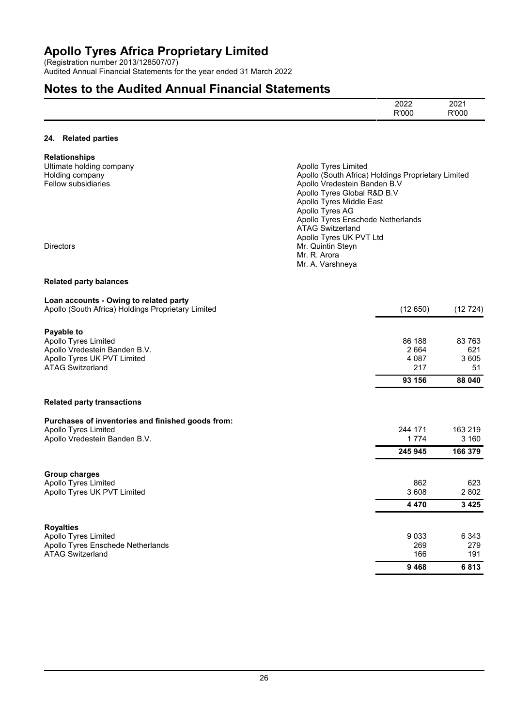(Registration number 2013/128507/07) Audited Annual Financial Statements for the year ended 31 March 2022

# **Notes to the Audited Annual Financial Statements**

|--|

## **24. Related parties**

| <b>Relationships</b>                               |                                                    |         |  |
|----------------------------------------------------|----------------------------------------------------|---------|--|
| Ultimate holding company                           | Apollo Tyres Limited                               |         |  |
| Holding company                                    | Apollo (South Africa) Holdings Proprietary Limited |         |  |
| <b>Fellow subsidiaries</b>                         | Apollo Vredestein Banden B.V                       |         |  |
|                                                    | Apollo Tyres Global R&D B.V                        |         |  |
|                                                    | Apollo Tyres Middle East                           |         |  |
|                                                    | Apollo Tyres AG                                    |         |  |
|                                                    | Apollo Tyres Enschede Netherlands                  |         |  |
|                                                    | <b>ATAG Switzerland</b>                            |         |  |
|                                                    | Apollo Tyres UK PVT Ltd                            |         |  |
| <b>Directors</b>                                   | Mr. Quintin Steyn                                  |         |  |
|                                                    | Mr. R. Arora                                       |         |  |
|                                                    | Mr. A. Varshneya                                   |         |  |
| <b>Related party balances</b>                      |                                                    |         |  |
| Loan accounts - Owing to related party             |                                                    |         |  |
| Apollo (South Africa) Holdings Proprietary Limited | (12650)                                            | (12724) |  |
| Payable to                                         |                                                    |         |  |
| Apollo Tyres Limited                               | 86 188                                             | 83 763  |  |
| Apollo Vredestein Banden B.V.                      | 2664                                               | 621     |  |
| Apollo Tyres UK PVT Limited                        | 4 0 8 7                                            | 3605    |  |
| <b>ATAG Switzerland</b>                            | 217                                                | 51      |  |
|                                                    | 93 156                                             | 88 040  |  |
|                                                    |                                                    |         |  |
| <b>Related party transactions</b>                  |                                                    |         |  |
| Purchases of inventories and finished goods from:  |                                                    |         |  |
| Apollo Tyres Limited                               | 244 171                                            | 163 219 |  |
| Apollo Vredestein Banden B.V.                      | 1 7 7 4                                            | 3 160   |  |
|                                                    | 245 945                                            | 166 379 |  |
| <b>Group charges</b>                               |                                                    |         |  |
| Apollo Tyres Limited                               | 862                                                | 623     |  |
| Apollo Tyres UK PVT Limited                        | 3608                                               | 2 802   |  |
|                                                    | 4470                                               | 3425    |  |
| <b>Royalties</b>                                   |                                                    |         |  |
| Apollo Tyres Limited                               | 9033                                               | 6 3 4 3 |  |
| Apollo Tyres Enschede Netherlands                  | 269                                                | 279     |  |
| <b>ATAG Switzerland</b>                            | 166                                                | 191     |  |
|                                                    | 9468                                               | 6813    |  |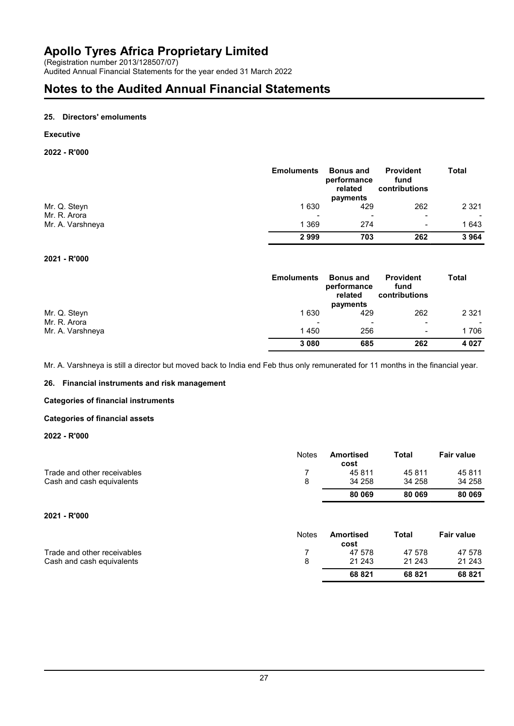(Registration number 2013/128507/07)

Audited Annual Financial Statements for the year ended 31 March 2022

## **Notes to the Audited Annual Financial Statements**

### **25. Directors' emoluments**

### **Executive**

### **2022 - R'000**

|                  | <b>Emoluments</b>        | <b>Bonus and</b><br>performance<br>related<br>payments | <b>Provident</b><br>fund<br>contributions | <b>Total</b> |
|------------------|--------------------------|--------------------------------------------------------|-------------------------------------------|--------------|
| Mr. Q. Steyn     | 1630                     | 429                                                    | 262                                       | 2 3 2 1      |
| Mr. R. Arora     | $\overline{\phantom{a}}$ |                                                        | $\,$                                      |              |
| Mr. A. Varshneya | 1 369                    | 274                                                    | $\qquad \qquad$                           | 1 643        |
|                  | 2999                     | 703                                                    | 262                                       | 3964         |

### **2021 - R'000**

|                  | <b>Emoluments</b> | <b>Bonus and</b><br>performance<br>related<br>payments | <b>Provident</b><br>fund<br>contributions | <b>Total</b> |
|------------------|-------------------|--------------------------------------------------------|-------------------------------------------|--------------|
| Mr. Q. Steyn     | 1630              | 429                                                    | 262                                       | 2 3 2 1      |
| Mr. R. Arora     | $\,$              | $\qquad \qquad$                                        | $\overline{\phantom{0}}$                  |              |
| Mr. A. Varshneya | 1450              | 256                                                    | $\qquad \qquad \blacksquare$              | 1 706        |
|                  | 3080              | 685                                                    | 262                                       | 4 0 2 7      |

Mr. A. Varshneya is still a director but moved back to India end Feb thus only remunerated for 11 months in the financial year.

### **26. Financial instruments and risk management**

### **Categories of financial instruments**

#### **Categories of financial assets**

### **2022 - R'000**

|              | Amortised<br>cost |        | <b>Fair value</b> |
|--------------|-------------------|--------|-------------------|
|              | 45 811            | 45 811 | 45 811            |
| 8            | 34 258            | 34 258 | 34 258            |
|              | 80 069            | 80 069 | 80 069            |
|              |                   |        |                   |
| <b>Notes</b> | Amortised<br>cost | Total  | <b>Fair value</b> |
| 7            | 47 578            | 47 578 | 47 578            |
| 8            | 21 243            | 21 243 | 21 24 3           |
|              | 68 821            | 68 821 | 68 821            |
|              | <b>Notes</b>      |        | <b>Total</b>      |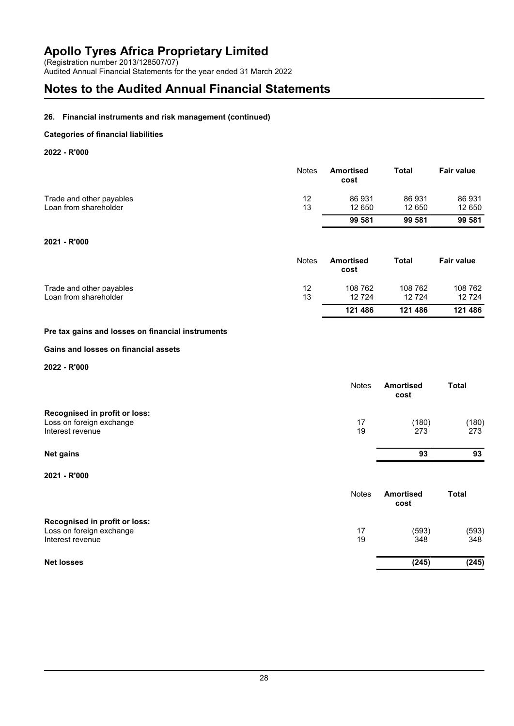(Registration number 2013/128507/07)

Audited Annual Financial Statements for the year ended 31 March 2022

## **Notes to the Audited Annual Financial Statements**

### **26. Financial instruments and risk management (continued)**

### **Categories of financial liabilities**

### **2022 - R'000**

|                          | <b>Notes</b> | <b>Amortised</b><br>cost | Total  | <b>Fair value</b> |
|--------------------------|--------------|--------------------------|--------|-------------------|
| Trade and other payables | 12           | 86 931                   | 86 931 | 86931             |
| Loan from shareholder    | 13           | 12 650                   | 12 650 | 12 650            |
|                          |              | 99 581                   | 99 581 | 99 581            |

### **2021 - R'000**

|                          | <b>Notes</b> | <b>Amortised</b><br>cost | Total   | <b>Fair value</b> |
|--------------------------|--------------|--------------------------|---------|-------------------|
| Trade and other payables | 12           | 108 762                  | 108 762 | 108 762           |
| Loan from shareholder    | 13           | 12 724                   | 12 7 24 | 12724             |
|                          |              | 121 486                  | 121 486 | 121 486           |

### **Pre tax gains and losses on financial instruments**

## **Gains and losses on financial assets**

### **2022 - R'000**

|                                                                               | <b>Notes</b> | <b>Amortised</b><br>cost | Total        |
|-------------------------------------------------------------------------------|--------------|--------------------------|--------------|
| Recognised in profit or loss:<br>Loss on foreign exchange<br>Interest revenue | 17<br>19     | (180)<br>273             | (180)<br>273 |
| Net gains                                                                     |              | 93                       | 93           |

### **2021 - R'000**

|                                                                                      | <b>Notes</b> | Amortised<br>cost | Total        |
|--------------------------------------------------------------------------------------|--------------|-------------------|--------------|
| <b>Recognised in profit or loss:</b><br>Loss on foreign exchange<br>Interest revenue | 17<br>19     | (593)<br>348      | (593)<br>348 |
| <b>Net losses</b>                                                                    |              | (245)             | (245)        |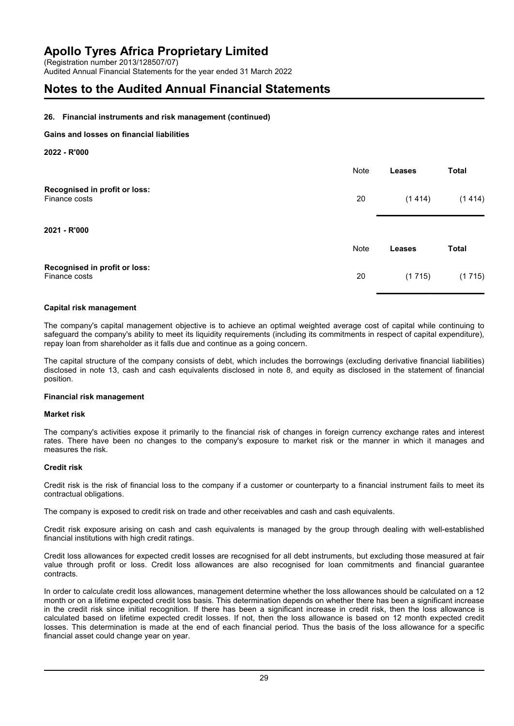(Registration number 2013/128507/07)

Audited Annual Financial Statements for the year ended 31 March 2022

## **Notes to the Audited Annual Financial Statements**

### **26. Financial instruments and risk management (continued)**

#### **Gains and losses on financial liabilities**

**2022 - R'000**

|                                                | Note | Leases | <b>Total</b> |
|------------------------------------------------|------|--------|--------------|
| Recognised in profit or loss:<br>Finance costs | 20   | (1414) | (1414)       |
| 2021 - R'000                                   |      |        |              |
|                                                | Note | Leases | <b>Total</b> |
| Recognised in profit or loss:<br>Finance costs | 20   | (1715) | (1715)       |

### **Capital risk management**

The company's capital management objective is to achieve an optimal weighted average cost of capital while continuing to safeguard the company's ability to meet its liquidity requirements (including its commitments in respect of capital expenditure), repay loan from shareholder as it falls due and continue as a going concern.

The capital structure of the company consists of debt, which includes the borrowings (excluding derivative financial liabilities) disclosed in note 13, cash and cash equivalents disclosed in note 8, and equity as disclosed in the statement of financial position.

#### **Financial risk management**

#### **Market risk**

The company's activities expose it primarily to the financial risk of changes in foreign currency exchange rates and interest rates. There have been no changes to the company's exposure to market risk or the manner in which it manages and measures the risk.

### **Credit risk**

Credit risk is the risk of financial loss to the company if a customer or counterparty to a financial instrument fails to meet its contractual obligations.

The company is exposed to credit risk on trade and other receivables and cash and cash equivalents.

Credit risk exposure arising on cash and cash equivalents is managed by the group through dealing with well-established financial institutions with high credit ratings.

Credit loss allowances for expected credit losses are recognised for all debt instruments, but excluding those measured at fair value through profit or loss. Credit loss allowances are also recognised for loan commitments and financial guarantee contracts.

In order to calculate credit loss allowances, management determine whether the loss allowances should be calculated on a 12 month or on a lifetime expected credit loss basis. This determination depends on whether there has been a significant increase in the credit risk since initial recognition. If there has been a significant increase in credit risk, then the loss allowance is calculated based on lifetime expected credit losses. If not, then the loss allowance is based on 12 month expected credit losses. This determination is made at the end of each financial period. Thus the basis of the loss allowance for a specific financial asset could change year on year.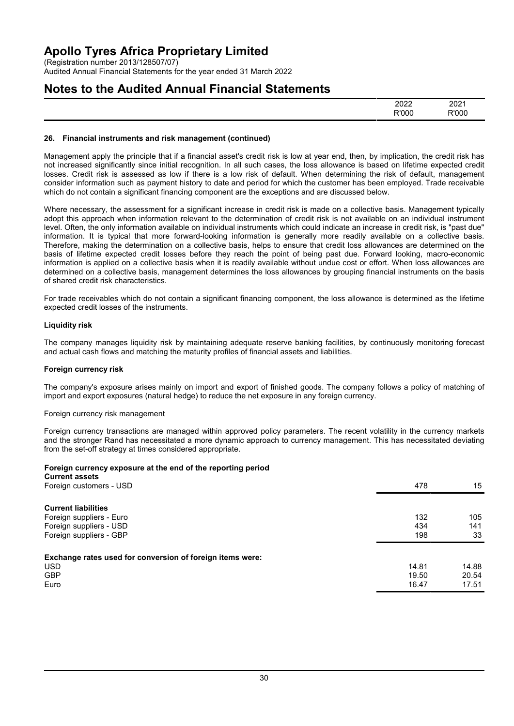(Registration number 2013/128507/07) Audited Annual Financial Statements for the year ended 31 March 2022

## **Notes to the Audited Annual Financial Statements**

|  |  | 2022<br>R'000 | 2021<br>R'000 |
|--|--|---------------|---------------|
|--|--|---------------|---------------|

### **26. Financial instruments and risk management (continued)**

Management apply the principle that if a financial asset's credit risk is low at year end, then, by implication, the credit risk has not increased significantly since initial recognition. In all such cases, the loss allowance is based on lifetime expected credit losses. Credit risk is assessed as low if there is a low risk of default. When determining the risk of default, management consider information such as payment history to date and period for which the customer has been employed. Trade receivable which do not contain a significant financing component are the exceptions and are discussed below.

Where necessary, the assessment for a significant increase in credit risk is made on a collective basis. Management typically adopt this approach when information relevant to the determination of credit risk is not available on an individual instrument level. Often, the only information available on individual instruments which could indicate an increase in credit risk, is "past due" information. It is typical that more forward-looking information is generally more readily available on a collective basis. Therefore, making the determination on a collective basis, helps to ensure that credit loss allowances are determined on the basis of lifetime expected credit losses before they reach the point of being past due. Forward looking, macro-economic information is applied on a collective basis when it is readily available without undue cost or effort. When loss allowances are determined on a collective basis, management determines the loss allowances by grouping financial instruments on the basis of shared credit risk characteristics.

For trade receivables which do not contain a significant financing component, the loss allowance is determined as the lifetime expected credit losses of the instruments.

### **Liquidity risk**

The company manages liquidity risk by maintaining adequate reserve banking facilities, by continuously monitoring forecast and actual cash flows and matching the maturity profiles of financial assets and liabilities.

### **Foreign currency risk**

The company's exposure arises mainly on import and export of finished goods. The company follows a policy of matching of import and export exposures (natural hedge) to reduce the net exposure in any foreign currency.

### Foreign currency risk management

Foreign currency transactions are managed within approved policy parameters. The recent volatility in the currency markets and the stronger Rand has necessitated a more dynamic approach to currency management. This has necessitated deviating from the set-off strategy at times considered appropriate.

### **Foreign currency exposure at the end of the reporting period**

| <b>Current assets</b>                                     |       |       |
|-----------------------------------------------------------|-------|-------|
| Foreign customers - USD                                   | 478   | 15    |
| <b>Current liabilities</b>                                |       |       |
| Foreign suppliers - Euro                                  | 132   | 105   |
| Foreign suppliers - USD                                   | 434   | 141   |
| Foreign suppliers - GBP                                   | 198   | 33    |
| Exchange rates used for conversion of foreign items were: |       |       |
| <b>USD</b>                                                | 14.81 | 14.88 |
| <b>GBP</b>                                                | 19.50 | 20.54 |
| Euro                                                      | 16.47 | 17.51 |
|                                                           |       |       |